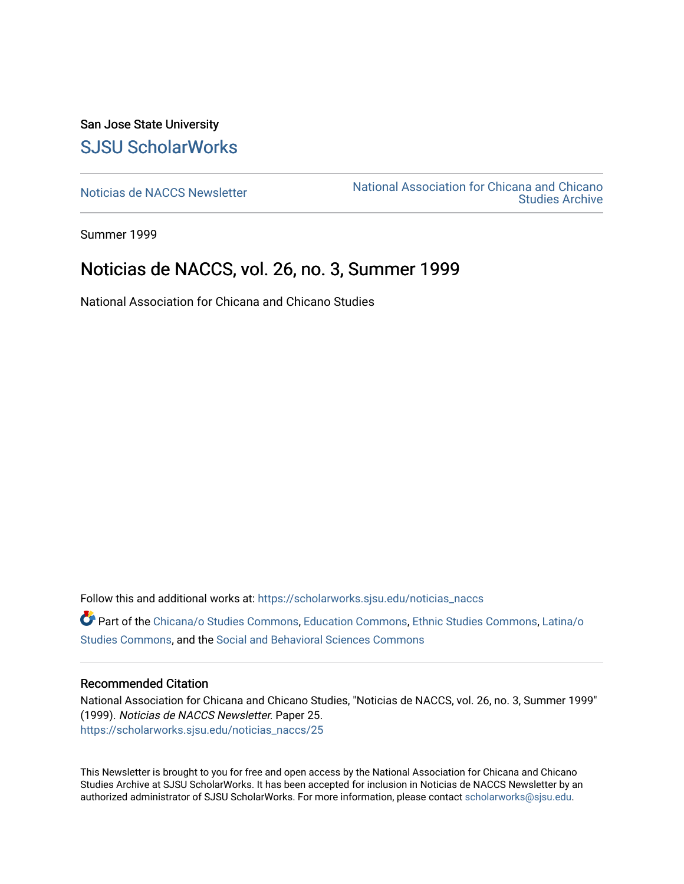San Jose State University [SJSU ScholarWorks](https://scholarworks.sjsu.edu/) 

[Noticias de NACCS Newsletter](https://scholarworks.sjsu.edu/noticias_naccs) National Association for Chicana and Chicano [Studies Archive](https://scholarworks.sjsu.edu/naccs_archives) 

Summer 1999

#### Noticias de NACCS, vol. 26, no. 3, Summer 1999

National Association for Chicana and Chicano Studies

Follow this and additional works at: [https://scholarworks.sjsu.edu/noticias\\_naccs](https://scholarworks.sjsu.edu/noticias_naccs?utm_source=scholarworks.sjsu.edu%2Fnoticias_naccs%2F25&utm_medium=PDF&utm_campaign=PDFCoverPages) Part of the [Chicana/o Studies Commons](http://network.bepress.com/hgg/discipline/569?utm_source=scholarworks.sjsu.edu%2Fnoticias_naccs%2F25&utm_medium=PDF&utm_campaign=PDFCoverPages), [Education Commons,](http://network.bepress.com/hgg/discipline/784?utm_source=scholarworks.sjsu.edu%2Fnoticias_naccs%2F25&utm_medium=PDF&utm_campaign=PDFCoverPages) [Ethnic Studies Commons](http://network.bepress.com/hgg/discipline/570?utm_source=scholarworks.sjsu.edu%2Fnoticias_naccs%2F25&utm_medium=PDF&utm_campaign=PDFCoverPages), [Latina/o](http://network.bepress.com/hgg/discipline/1315?utm_source=scholarworks.sjsu.edu%2Fnoticias_naccs%2F25&utm_medium=PDF&utm_campaign=PDFCoverPages)  [Studies Commons,](http://network.bepress.com/hgg/discipline/1315?utm_source=scholarworks.sjsu.edu%2Fnoticias_naccs%2F25&utm_medium=PDF&utm_campaign=PDFCoverPages) and the [Social and Behavioral Sciences Commons](http://network.bepress.com/hgg/discipline/316?utm_source=scholarworks.sjsu.edu%2Fnoticias_naccs%2F25&utm_medium=PDF&utm_campaign=PDFCoverPages)

#### Recommended Citation

National Association for Chicana and Chicano Studies, "Noticias de NACCS, vol. 26, no. 3, Summer 1999" (1999). Noticias de NACCS Newsletter. Paper 25. [https://scholarworks.sjsu.edu/noticias\\_naccs/25](https://scholarworks.sjsu.edu/noticias_naccs/25?utm_source=scholarworks.sjsu.edu%2Fnoticias_naccs%2F25&utm_medium=PDF&utm_campaign=PDFCoverPages) 

This Newsletter is brought to you for free and open access by the National Association for Chicana and Chicano Studies Archive at SJSU ScholarWorks. It has been accepted for inclusion in Noticias de NACCS Newsletter by an authorized administrator of SJSU ScholarWorks. For more information, please contact [scholarworks@sjsu.edu.](mailto:scholarworks@sjsu.edu)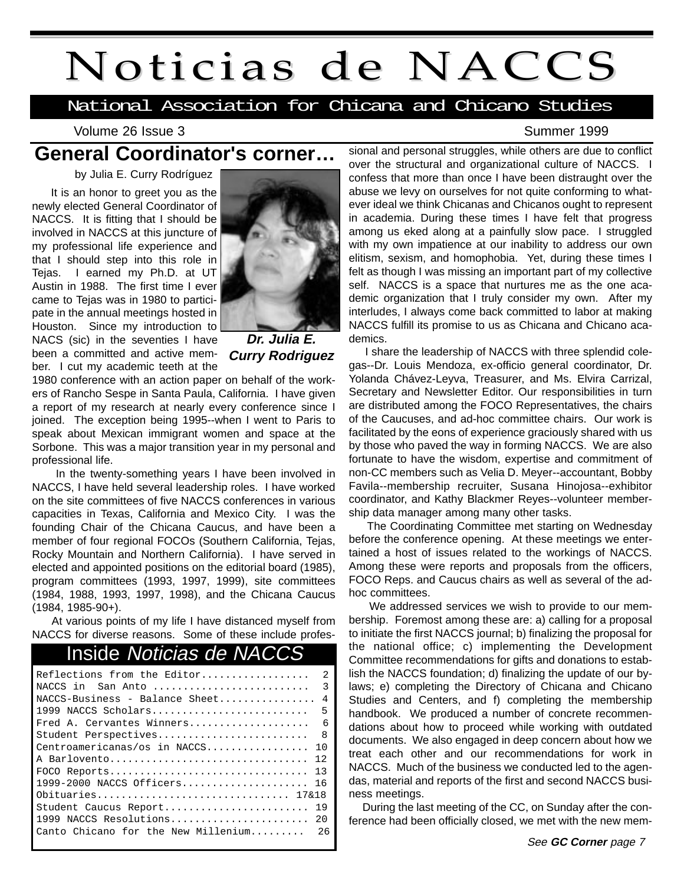## Noticias de NACCS

National Association for Chicana and Chicano Studies

Volume 26 Issue 3 Summer 1999

## **General Coordinator's corner…**

by Julia E. Curry Rodríguez

It is an honor to greet you as the newly elected General Coordinator of NACCS. It is fitting that I should be involved in NACCS at this juncture of my professional life experience and that I should step into this role in Tejas. I earned my Ph.D. at UT Austin in 1988. The first time I ever came to Tejas was in 1980 to participate in the annual meetings hosted in Houston. Since my introduction to NACS (sic) in the seventies I have been a committed and active member. I cut my academic teeth at the



**Dr. Julia E. Curry Rodriguez**

1980 conference with an action paper on behalf of the workers of Rancho Sespe in Santa Paula, California. I have given a report of my research at nearly every conference since I joined. The exception being 1995--when I went to Paris to speak about Mexican immigrant women and space at the Sorbone. This was a major transition year in my personal and professional life.

In the twenty-something years I have been involved in NACCS, I have held several leadership roles. I have worked on the site committees of five NACCS conferences in various capacities in Texas, California and Mexico City. I was the founding Chair of the Chicana Caucus, and have been a member of four regional FOCOs (Southern California, Tejas, Rocky Mountain and Northern California). I have served in elected and appointed positions on the editorial board (1985), program committees (1993, 1997, 1999), site committees (1984, 1988, 1993, 1997, 1998), and the Chicana Caucus (1984, 1985-90+).

At various points of my life I have distanced myself from NACCS for diverse reasons. Some of these include profes-

### Inside Noticias de NACCS

| Reflections from the Editor         | $\mathcal{L}$ |
|-------------------------------------|---------------|
| NACCS in San Anto                   | २             |
| $NACCS-Business - Balance Sheet$    | 4             |
| 1999 NACCS Scholars                 | 5             |
| Fred A. Cervantes Winners           | - 6           |
| Student Perspectives                | 8             |
| Centroamericanas/os in NACCS        | 1 N           |
| A Barlovento                        | 12            |
| $FOCO$ Reports                      | 13            |
| 1999-2000 NACCS Officers 16         |               |
| Obituaries 17&18                    |               |
| Student Caucus Report               | 19            |
| 1999 NACCS Resolutions              | 20            |
| Canto Chicano for the New Millenium | 26            |
|                                     |               |

sional and personal struggles, while others are due to conflict over the structural and organizational culture of NACCS. I confess that more than once I have been distraught over the abuse we levy on ourselves for not quite conforming to whatever ideal we think Chicanas and Chicanos ought to represent in academia. During these times I have felt that progress among us eked along at a painfully slow pace. I struggled with my own impatience at our inability to address our own elitism, sexism, and homophobia. Yet, during these times I felt as though I was missing an important part of my collective self. NACCS is a space that nurtures me as the one academic organization that I truly consider my own. After my interludes, I always come back committed to labor at making NACCS fulfill its promise to us as Chicana and Chicano academics.

I share the leadership of NACCS with three splendid colegas--Dr. Louis Mendoza, ex-officio general coordinator, Dr. Yolanda Chávez-Leyva, Treasurer, and Ms. Elvira Carrizal, Secretary and Newsletter Editor. Our responsibilities in turn are distributed among the FOCO Representatives, the chairs of the Caucuses, and ad-hoc committee chairs. Our work is facilitated by the eons of experience graciously shared with us by those who paved the way in forming NACCS. We are also fortunate to have the wisdom, expertise and commitment of non-CC members such as Velia D. Meyer--accountant, Bobby Favila--membership recruiter, Susana Hinojosa--exhibitor coordinator, and Kathy Blackmer Reyes--volunteer membership data manager among many other tasks.

The Coordinating Committee met starting on Wednesday before the conference opening. At these meetings we entertained a host of issues related to the workings of NACCS. Among these were reports and proposals from the officers, FOCO Reps. and Caucus chairs as well as several of the adhoc committees.

We addressed services we wish to provide to our membership. Foremost among these are: a) calling for a proposal to initiate the first NACCS journal; b) finalizing the proposal for the national office; c) implementing the Development Committee recommendations for gifts and donations to establish the NACCS foundation; d) finalizing the update of our bylaws; e) completing the Directory of Chicana and Chicano Studies and Centers, and f) completing the membership handbook. We produced a number of concrete recommendations about how to proceed while working with outdated documents. We also engaged in deep concern about how we treat each other and our recommendations for work in NACCS. Much of the business we conducted led to the agendas, material and reports of the first and second NACCS business meetings.

During the last meeting of the CC, on Sunday after the conference had been officially closed, we met with the new mem-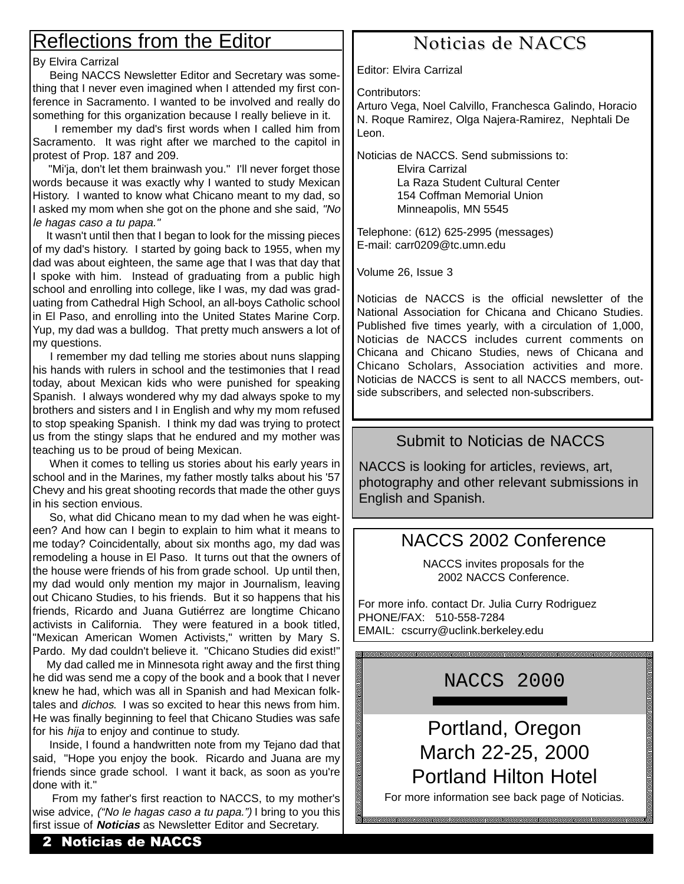## Reflections from the Editor

#### By Elvira Carrizal

Being NACCS Newsletter Editor and Secretary was something that I never even imagined when I attended my first conference in Sacramento. I wanted to be involved and really do something for this organization because I really believe in it.

I remember my dad's first words when I called him from Sacramento. It was right after we marched to the capitol in protest of Prop. 187 and 209.

"Mi'ja, don't let them brainwash you." I'll never forget those words because it was exactly why I wanted to study Mexican History. I wanted to know what Chicano meant to my dad, so I asked my mom when she got on the phone and she said, "No le hagas caso a tu papa."

It wasn't until then that I began to look for the missing pieces of my dad's history. I started by going back to 1955, when my dad was about eighteen, the same age that I was that day that I spoke with him. Instead of graduating from a public high school and enrolling into college, like I was, my dad was graduating from Cathedral High School, an all-boys Catholic school in El Paso, and enrolling into the United States Marine Corp. Yup, my dad was a bulldog. That pretty much answers a lot of my questions.

I remember my dad telling me stories about nuns slapping his hands with rulers in school and the testimonies that I read today, about Mexican kids who were punished for speaking Spanish. I always wondered why my dad always spoke to my brothers and sisters and I in English and why my mom refused to stop speaking Spanish. I think my dad was trying to protect us from the stingy slaps that he endured and my mother was teaching us to be proud of being Mexican.

When it comes to telling us stories about his early years in school and in the Marines, my father mostly talks about his '57 Chevy and his great shooting records that made the other guys in his section envious.

So, what did Chicano mean to my dad when he was eighteen? And how can I begin to explain to him what it means to me today? Coincidentally, about six months ago, my dad was remodeling a house in El Paso. It turns out that the owners of the house were friends of his from grade school. Up until then, my dad would only mention my major in Journalism, leaving out Chicano Studies, to his friends. But it so happens that his friends, Ricardo and Juana Gutiérrez are longtime Chicano activists in California. They were featured in a book titled, "Mexican American Women Activists," written by Mary S. Pardo. My dad couldn't believe it. "Chicano Studies did exist!"

My dad called me in Minnesota right away and the first thing he did was send me a copy of the book and a book that I never knew he had, which was all in Spanish and had Mexican folktales and dichos. I was so excited to hear this news from him. He was finally beginning to feel that Chicano Studies was safe for his hija to enjoy and continue to study.

Inside, I found a handwritten note from my Tejano dad that said, "Hope you enjoy the book. Ricardo and Juana are my friends since grade school. I want it back, as soon as you're done with it."

From my father's first reaction to NACCS, to my mother's wise advice, *("No le hagas caso a tu papa.")* I bring to you this first issue of **Noticias** as Newsletter Editor and Secretary.

## Noticias de NACCS

Editor: Elvira Carrizal

Contributors:

Arturo Vega, Noel Calvillo, Franchesca Galindo, Horacio N. Roque Ramirez, Olga Najera-Ramirez, Nephtali De Leon.

Noticias de NACCS. Send submissions to:

Elvira Carrizal La Raza Student Cultural Center 154 Coffman Memorial Union Minneapolis, MN 5545

Telephone: (612) 625-2995 (messages) E-mail: carr0209@tc.umn.edu

Volume 26, Issue 3

Noticias de NACCS is the official newsletter of the National Association for Chicana and Chicano Studies. Published five times yearly, with a circulation of 1,000, Noticias de NACCS includes current comments on Chicana and Chicano Studies, news of Chicana and Chicano Scholars, Association activities and more. Noticias de NACCS is sent to all NACCS members, outside subscribers, and selected non-subscribers.

#### Submit to Noticias de NACCS

NACCS is looking for articles, reviews, art, photography and other relevant submissions in English and Spanish.

### NACCS 2002 Conference

NACCS invites proposals for the 2002 NACCS Conference.

For more info. contact Dr. Julia Curry Rodriguez PHONE/FAX: 510-558-7284 EMAIL: cscurry@uclink.berkeley.edu

NACCS 2000

> Portland, Oregon March 22-25, 2000 Portland Hilton Hotel

For more information see back page of Noticias.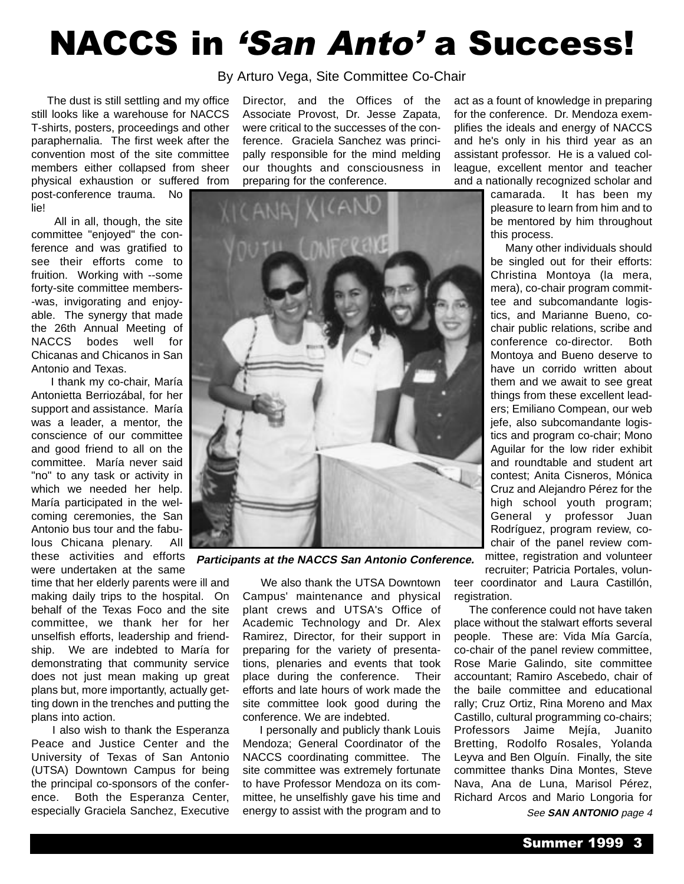## **NACCS in 'San Anto' a Success!**

By Arturo Vega, Site Committee Co-Chair

The dust is still settling and my office still looks like a warehouse for NACCS T-shirts, posters, proceedings and other paraphernalia. The first week after the convention most of the site committee members either collapsed from sheer

physical exhaustion or suffered from post-conference trauma. No lie!

All in all, though, the site committee "enjoyed" the conference and was gratified to see their efforts come to fruition. Working with --some forty-site committee members- -was, invigorating and enjoyable. The synergy that made the 26th Annual Meeting of NACCS bodes well for Chicanas and Chicanos in San Antonio and Texas.

I thank my co-chair, María Antonietta Berriozábal, for her support and assistance. María was a leader, a mentor, the conscience of our committee and good friend to all on the committee. María never said "no" to any task or activity in which we needed her help. María participated in the welcoming ceremonies, the San Antonio bus tour and the fabulous Chicana plenary. All

were undertaken at the same time that her elderly parents were ill and making daily trips to the hospital. On behalf of the Texas Foco and the site committee, we thank her for her unselfish efforts, leadership and friendship. We are indebted to María for demonstrating that community service

does not just mean making up great plans but, more importantly, actually getting down in the trenches and putting the plans into action. I also wish to thank the Esperanza

Peace and Justice Center and the University of Texas of San Antonio (UTSA) Downtown Campus for being the principal co-sponsors of the conference. Both the Esperanza Center, especially Graciela Sanchez, Executive

Director, and the Offices of the Associate Provost, Dr. Jesse Zapata, were critical to the successes of the conference. Graciela Sanchez was principally responsible for the mind melding our thoughts and consciousness in preparing for the conference.



these activities and efforts **Participants at the NACCS San Antonio Conference.**

We also thank the UTSA Downtown Campus' maintenance and physical plant crews and UTSA's Office of Academic Technology and Dr. Alex Ramirez, Director, for their support in preparing for the variety of presentations, plenaries and events that took place during the conference. Their efforts and late hours of work made the site committee look good during the conference. We are indebted.

I personally and publicly thank Louis Mendoza; General Coordinator of the NACCS coordinating committee. The site committee was extremely fortunate to have Professor Mendoza on its committee, he unselfishly gave his time and energy to assist with the program and to

act as a fount of knowledge in preparing for the conference. Dr. Mendoza exemplifies the ideals and energy of NACCS and he's only in his third year as an assistant professor. He is a valued colleague, excellent mentor and teacher and a nationally recognized scholar and

> camarada. It has been my pleasure to learn from him and to be mentored by him throughout this process.

Many other individuals should be singled out for their efforts: Christina Montoya (la mera, mera), co-chair program committee and subcomandante logistics, and Marianne Bueno, cochair public relations, scribe and conference co-director. Both Montoya and Bueno deserve to have un corrido written about them and we await to see great things from these excellent leaders; Emiliano Compean, our web jefe, also subcomandante logistics and program co-chair; Mono Aguilar for the low rider exhibit and roundtable and student art contest; Anita Cisneros, Mónica Cruz and Alejandro Pérez for the high school youth program; General y professor Juan Rodríguez, program review, cochair of the panel review committee, registration and volunteer recruiter; Patricia Portales, volun-

teer coordinator and Laura Castillón, registration.

The conference could not have taken place without the stalwart efforts several people. These are: Vida Mía García, co-chair of the panel review committee, Rose Marie Galindo, site committee accountant; Ramiro Ascebedo, chair of the baile committee and educational rally; Cruz Ortiz, Rina Moreno and Max Castillo, cultural programming co-chairs; Professors Jaime Mejía, Juanito Bretting, Rodolfo Rosales, Yolanda Leyva and Ben Olguín. Finally, the site committee thanks Dina Montes, Steve Nava, Ana de Luna, Marisol Pérez, Richard Arcos and Mario Longoria for See **SAN ANTONIO** page 4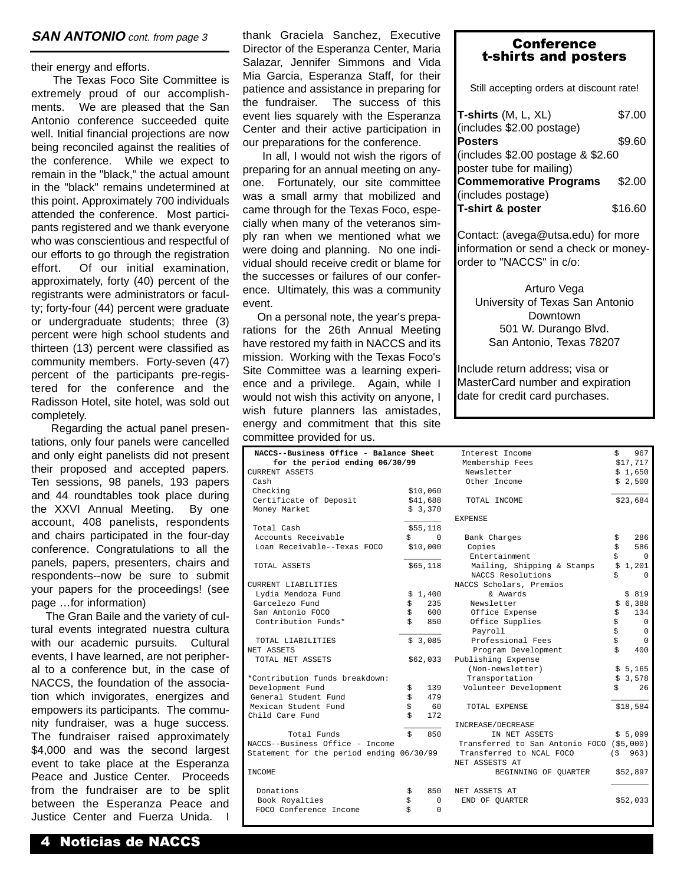their energy and efforts.

The Texas Foco Site Committee is extremely proud of our accomplishments. We are pleased that the San Antonio conference succeeded quite well. Initial financial projections are now being reconciled against the realities of the conference. While we expect to remain in the "black," the actual amount in the "black" remains undetermined at this point. Approximately 700 individuals attended the conference. Most participants registered and we thank everyone who was conscientious and respectful of our efforts to go through the registration effort. Of our initial examination, approximately, forty (40) percent of the registrants were administrators or faculty; forty-four (44) percent were graduate or undergraduate students; three (3) percent were high school students and thirteen (13) percent were classified as community members. Forty-seven (47) percent of the participants pre-registered for the conference and the Radisson Hotel, site hotel, was sold out completely.

Regarding the actual panel presentations, only four panels were cancelled and only eight panelists did not present their proposed and accepted papers. Ten sessions, 98 panels, 193 papers and 44 roundtables took place during the XXVI Annual Meeting. By one account, 408 panelists, respondents and chairs participated in the four-day conference. Congratulations to all the panels, papers, presenters, chairs and respondents--now be sure to submit your papers for the proceedings! (see page …for information)

The Gran Baile and the variety of cultural events integrated nuestra cultura with our academic pursuits. Cultural events, I have learned, are not peripheral to a conference but, in the case of NACCS, the foundation of the association which invigorates, energizes and empowers its participants. The community fundraiser, was a huge success. The fundraiser raised approximately \$4,000 and was the second largest event to take place at the Esperanza Peace and Justice Center. Proceeds from the fundraiser are to be split between the Esperanza Peace and Justice Center and Fuerza Unida. I

thank Graciela Sanchez, Executive **SAN ANTONIO** cont. from page 3 thank Graciela Sanchez, Executive **Conference**<br>
Director of the Esperanza Center, Maria Salazar, Jennifer Simmons and Vida Mia Garcia, Esperanza Staff, for their patience and assistance in preparing for the fundraiser. The success of this event lies squarely with the Esperanza Center and their active participation in our preparations for the conference.

> In all, I would not wish the rigors of preparing for an annual meeting on anyone. Fortunately, our site committee was a small army that mobilized and came through for the Texas Foco, especially when many of the veteranos simply ran when we mentioned what we were doing and planning. No one individual should receive credit or blame for the successes or failures of our conference. Ultimately, this was a community event.

> On a personal note, the year's preparations for the 26th Annual Meeting have restored my faith in NACCS and its mission. Working with the Texas Foco's Site Committee was a learning experience and a privilege. Again, while I would not wish this activity on anyone, I wish future planners las amistades, energy and commitment that this site committee provided for us.

| NACCS--Business Office - Balance Sheet   |          |                     |  |
|------------------------------------------|----------|---------------------|--|
| for the period ending 06/30/99           |          |                     |  |
| CURRENT ASSETS                           |          |                     |  |
| Cash                                     |          |                     |  |
| Checking                                 |          | \$10,060            |  |
| Certificate of Deposit                   |          | \$41,688<br>\$3,370 |  |
| Money Market                             |          |                     |  |
| Total Cash                               |          | \$55,118            |  |
| Accounts Receivable                      |          | \$0                 |  |
| Loan Receivable--Texas FOCO              |          | \$10,000            |  |
|                                          |          |                     |  |
| TOTAL ASSETS                             |          | \$65,118            |  |
| CURRENT LIABILITIES                      |          |                     |  |
| Lydia Mendoza Fund                       | \$       | 1,400               |  |
| Garcelezo Fund                           | \$       | 235                 |  |
| San Antonio FOCO                         | \$       | 600                 |  |
| Contribution Funds*                      | \$       | 850                 |  |
|                                          |          |                     |  |
| TOTAL LIABILITIES                        |          | \$3,085             |  |
| NET ASSETS                               |          |                     |  |
| TOTAL NET ASSETS                         |          | \$62,033            |  |
|                                          |          |                     |  |
| *Contribution funds breakdown:           |          |                     |  |
| Development Fund<br>General Student Fund | \$<br>\$ | 139<br>479          |  |
| Mexican Student Fund                     | \$       | - 60                |  |
| Child Care Fund                          | \$       | 172                 |  |
|                                          |          |                     |  |
| Total Funds                              | \$       | 850                 |  |
| NACCS--Business Office - Income          |          |                     |  |
| Statement for the period ending 06/30/99 |          |                     |  |
| INCOME                                   |          |                     |  |
|                                          |          |                     |  |
| Donations                                | \$       | 850                 |  |
| Book Royalties                           | \$       | $\Omega$            |  |
| FOCO Conference Income                   | Ś        | $\Omega$            |  |

## t-shirts and posters

Still accepting orders at discount rate!

| T-shirts (M, L, XL)                 | \$7.00  |
|-------------------------------------|---------|
| (includes \$2.00 postage)           |         |
| <b>Posters</b>                      | \$9.60  |
| (includes $$2.00$ postage & $$2.60$ |         |
| poster tube for mailing)            |         |
| <b>Commemorative Programs</b>       | \$2.00  |
| (includes postage)                  |         |
| T-shirt & poster                    | \$16.60 |

Contact: (avega@utsa.edu) for more information or send a check or moneyorder to "NACCS" in c/o:

Arturo Vega University of Texas San Antonio Downtown 501 W. Durango Blvd. San Antonio, Texas 78207

Include return address; visa or MasterCard number and expiration date for credit card purchases.

| Interest Income                           | \$<br>967   |
|-------------------------------------------|-------------|
| Membership Fees                           | \$17,717    |
| Newsletter                                | \$1,650     |
| Other Income                              | \$2,500     |
|                                           |             |
| TOTAL INCOME                              | \$23,684    |
| <b>EXPENSE</b>                            |             |
| Bank Charges                              | \$<br>286   |
| Copies                                    | \$<br>586   |
| Entertainment                             | \$<br>0     |
| Mailing, Shipping & Stamps                | \$<br>1,201 |
| NACCS Resolutions                         | \$<br>0     |
| NACCS Scholars, Premios                   |             |
| & Awards                                  | \$819       |
| Newsletter                                | \$<br>6,388 |
| Office Expense                            | \$<br>134   |
| Office Supplies                           | \$<br>0     |
| Payroll                                   | \$<br>0     |
| Professional Fees                         | \$<br>0     |
| Program Development                       | \$<br>400   |
| Publishing Expense                        |             |
| (Non-newsletter)                          | \$5,165     |
| Transportation                            | \$<br>3,578 |
| Volunteer Development                     | \$<br>26    |
| TOTAL EXPENSE                             | \$18,584    |
| INCREASE/DECREASE                         |             |
| IN NET ASSETS                             | \$5,099     |
| Transferred to San Antonio FOCO (\$5,000) |             |
| Transferred to NCAL FOCO                  | (S 963)     |
| NET ASSESTS AT                            |             |
| BEGINNING OF QUARTER                      | \$52,897    |
| NET ASSETS AT                             |             |
| END OF OUARTER                            | \$52,033    |
|                                           |             |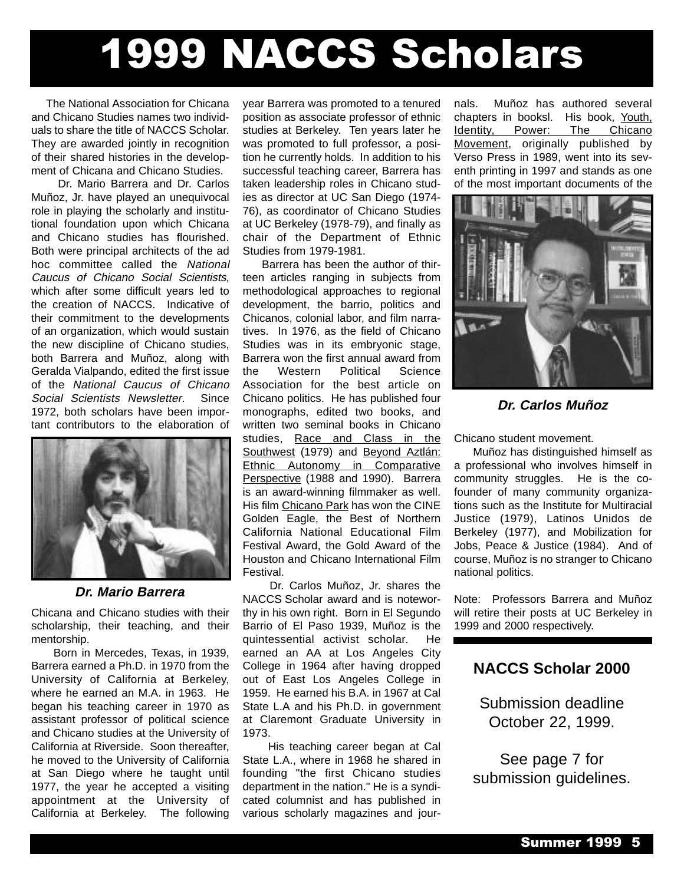## 1999 NACCS Scholars

The National Association for Chicana and Chicano Studies names two individuals to share the title of NACCS Scholar. They are awarded jointly in recognition of their shared histories in the development of Chicana and Chicano Studies.

Dr. Mario Barrera and Dr. Carlos Muñoz, Jr. have played an unequivocal role in playing the scholarly and institutional foundation upon which Chicana and Chicano studies has flourished. Both were principal architects of the ad hoc committee called the National Caucus of Chicano Social Scientists, which after some difficult years led to the creation of NACCS. Indicative of their commitment to the developments of an organization, which would sustain the new discipline of Chicano studies, both Barrera and Muñoz, along with Geralda Vialpando, edited the first issue of the National Caucus of Chicano Social Scientists Newsletter. Since 1972, both scholars have been important contributors to the elaboration of



**Dr. Mario Barrera**

Chicana and Chicano studies with their scholarship, their teaching, and their mentorship.

Born in Mercedes, Texas, in 1939, Barrera earned a Ph.D. in 1970 from the University of California at Berkeley, where he earned an M.A. in 1963. He began his teaching career in 1970 as assistant professor of political science and Chicano studies at the University of California at Riverside. Soon thereafter, he moved to the University of California at San Diego where he taught until 1977, the year he accepted a visiting appointment at the University of California at Berkeley. The following

year Barrera was promoted to a tenured position as associate professor of ethnic studies at Berkeley. Ten years later he was promoted to full professor, a position he currently holds. In addition to his successful teaching career, Barrera has taken leadership roles in Chicano studies as director at UC San Diego (1974- 76), as coordinator of Chicano Studies at UC Berkeley (1978-79), and finally as chair of the Department of Ethnic Studies from 1979-1981.

Barrera has been the author of thirteen articles ranging in subjects from methodological approaches to regional development, the barrio, politics and Chicanos, colonial labor, and film narratives. In 1976, as the field of Chicano Studies was in its embryonic stage, Barrera won the first annual award from the Western Political Science Association for the best article on Chicano politics. He has published four monographs, edited two books, and written two seminal books in Chicano studies, Race and Class in the Southwest (1979) and Beyond Aztlán: Ethnic Autonomy in Comparative Perspective (1988 and 1990). Barrera is an award-winning filmmaker as well. His film Chicano Park has won the CINE Golden Eagle, the Best of Northern California National Educational Film Festival Award, the Gold Award of the Houston and Chicano International Film Festival.

Dr. Carlos Muñoz, Jr. shares the NACCS Scholar award and is noteworthy in his own right. Born in El Segundo Barrio of El Paso 1939, Muñoz is the quintessential activist scholar. He earned an AA at Los Angeles City College in 1964 after having dropped out of East Los Angeles College in 1959. He earned his B.A. in 1967 at Cal State L.A and his Ph.D. in government at Claremont Graduate University in 1973.

His teaching career began at Cal State L.A., where in 1968 he shared in founding "the first Chicano studies department in the nation." He is a syndicated columnist and has published in various scholarly magazines and journals. Muñoz has authored several chapters in booksl. His book, Youth, Identity, Power: The Chicano Movement, originally published by Verso Press in 1989, went into its seventh printing in 1997 and stands as one of the most important documents of the



**Dr. Carlos Muñoz**

Chicano student movement.

Muñoz has distinguished himself as a professional who involves himself in community struggles. He is the cofounder of many community organizations such as the Institute for Multiracial Justice (1979), Latinos Unidos de Berkeley (1977), and Mobilization for Jobs, Peace & Justice (1984). And of course, Muñoz is no stranger to Chicano national politics.

Note: Professors Barrera and Muñoz will retire their posts at UC Berkeley in 1999 and 2000 respectively.

#### **NACCS Scholar 2000**

Submission deadline October 22, 1999.

See page 7 for submission guidelines.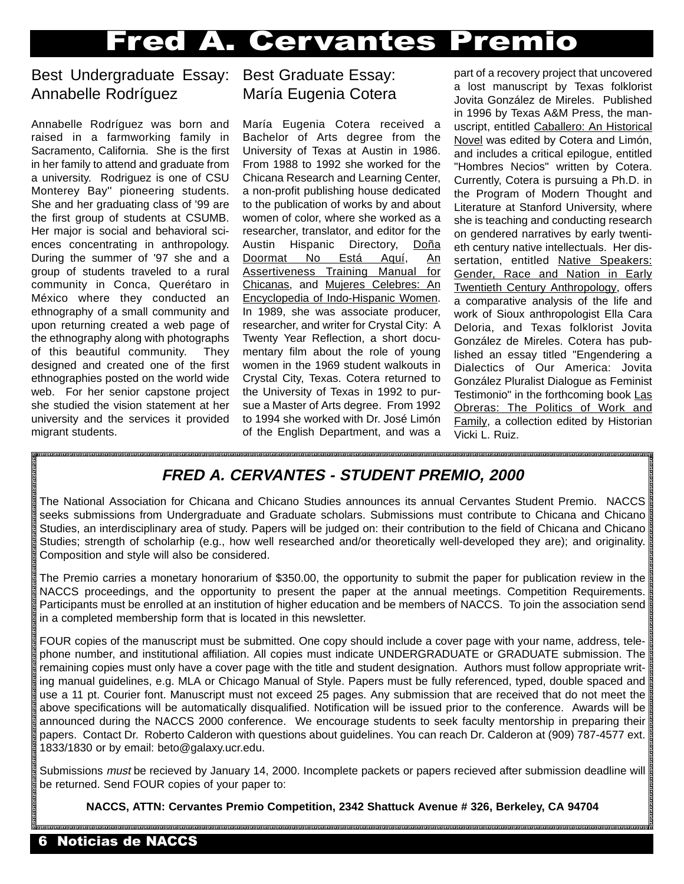## Fred A. Cervantes Premio

#### Best Undergraduate Essay: Annabelle Rodríguez

Annabelle Rodríguez was born and raised in a farmworking family in Sacramento, California. She is the first in her family to attend and graduate from a university. Rodriguez is one of CSU Monterey Bay'' pioneering students. She and her graduating class of '99 are the first group of students at CSUMB. Her major is social and behavioral sciences concentrating in anthropology. During the summer of '97 she and a group of students traveled to a rural community in Conca, Querétaro in México where they conducted an ethnography of a small community and upon returning created a web page of the ethnography along with photographs of this beautiful community. They designed and created one of the first ethnographies posted on the world wide web. For her senior capstone project she studied the vision statement at her university and the services it provided migrant students.

#### Best Graduate Essay: María Eugenia Cotera

María Eugenia Cotera received a Bachelor of Arts degree from the University of Texas at Austin in 1986. From 1988 to 1992 she worked for the Chicana Research and Learning Center, a non-profit publishing house dedicated to the publication of works by and about women of color, where she worked as a researcher, translator, and editor for the Austin Hispanic Directory, Doña Doormat No Está Aquí, An Assertiveness Training Manual for Chicanas, and Mujeres Celebres: An Encyclopedia of Indo-Hispanic Women. In 1989, she was associate producer, researcher, and writer for Crystal City: A Twenty Year Reflection, a short documentary film about the role of young women in the 1969 student walkouts in Crystal City, Texas. Cotera returned to the University of Texas in 1992 to pursue a Master of Arts degree. From 1992 to 1994 she worked with Dr. José Limón of the English Department, and was a

part of a recovery project that uncovered a lost manuscript by Texas folklorist Jovita González de Mireles. Published in 1996 by Texas A&M Press, the manuscript, entitled Caballero: An Historical Novel was edited by Cotera and Limón, and includes a critical epilogue, entitled "Hombres Necios" written by Cotera. Currently, Cotera is pursuing a Ph.D. in the Program of Modern Thought and Literature at Stanford University, where she is teaching and conducting research on gendered narratives by early twentieth century native intellectuals. Her dissertation, entitled Native Speakers: Gender, Race and Nation in Early Twentieth Century Anthropology, offers a comparative analysis of the life and work of Sioux anthropologist Ella Cara Deloria, and Texas folklorist Jovita González de Mireles. Cotera has published an essay titled "Engendering a Dialectics of Our America: Jovita González Pluralist Dialogue as Feminist Testimonio" in the forthcoming book Las Obreras: The Politics of Work and Family, a collection edited by Historian Vicki L. Ruiz.

### **FRED A. CERVANTES - STUDENT PREMIO, 2000**

The National Association for Chicana and Chicano Studies announces its annual Cervantes Student Premio. NACCS seeks submissions from Undergraduate and Graduate scholars. Submissions must contribute to Chicana and Chicano Studies, an interdisciplinary area of study. Papers will be judged on: their contribution to the field of Chicana and Chicano Studies; strength of scholarhip (e.g., how well researched and/or theoretically well-developed they are); and originality. Composition and style will also be considered.

The Premio carries a monetary honorarium of \$350.00, the opportunity to submit the paper for publication review in the NACCS proceedings, and the opportunity to present the paper at the annual meetings. Competition Requirements. Participants must be enrolled at an institution of higher education and be members of NACCS. To join the association send in a completed membership form that is located in this newsletter.

FOUR copies of the manuscript must be submitted. One copy should include a cover page with your name, address, telephone number, and institutional affiliation. All copies must indicate UNDERGRADUATE or GRADUATE submission. The remaining copies must only have a cover page with the title and student designation. Authors must follow appropriate writing manual guidelines, e.g. MLA or Chicago Manual of Style. Papers must be fully referenced, typed, double spaced and use a 11 pt. Courier font. Manuscript must not exceed 25 pages. Any submission that are received that do not meet the above specifications will be automatically disqualified. Notification will be issued prior to the conference. Awards will be announced during the NACCS 2000 conference. We encourage students to seek faculty mentorship in preparing their papers. Contact Dr. Roberto Calderon with questions about guidelines. You can reach Dr. Calderon at (909) 787-4577 ext. 1833/1830 or by email: beto@galaxy.ucr.edu.

Submissions *must* be recieved by January 14, 2000. Incomplete packets or papers recieved after submission deadline will be returned. Send FOUR copies of your paper to:

**NACCS, ATTN: Cervantes Premio Competition, 2342 Shattuck Avenue # 326, Berkeley, CA 94704**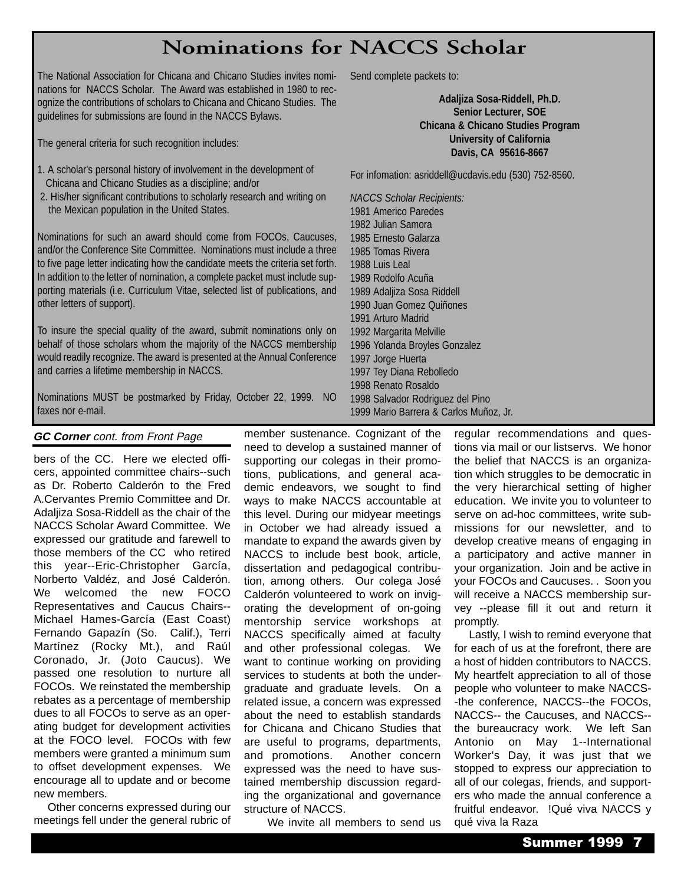## **Nominations for NACCS Scholar**

member sustenance. Cognizant of the need to develop a sustained manner of supporting our colegas in their promotions, publications, and general academic endeavors, we sought to find ways to make NACCS accountable at this level. During our midyear meetings in October we had already issued a mandate to expand the awards given by NACCS to include best book, article, dissertation and pedagogical contribution, among others. Our colega José Calderón volunteered to work on invigorating the development of on-going mentorship service workshops at NACCS specifically aimed at faculty and other professional colegas. We want to continue working on providing services to students at both the undergraduate and graduate levels. On a related issue, a concern was expressed about the need to establish standards for Chicana and Chicano Studies that are useful to programs, departments, and promotions. Another concern expressed was the need to have sustained membership discussion regarding the organizational and governance

structure of NACCS.

We invite all members to send us

The National Association for Chicana and Chicano Studies invites nominations for NACCS Scholar. The Award was established in 1980 to recognize the contributions of scholars to Chicana and Chicano Studies. The guidelines for submissions are found in the NACCS Bylaws.

The general criteria for such recognition includes:

- 1. A scholar's personal history of involvement in the development of Chicana and Chicano Studies as a discipline; and/or
- 2. His/her significant contributions to scholarly research and writing on the Mexican population in the United States.

Nominations for such an award should come from FOCOs, Caucuses, and/or the Conference Site Committee. Nominations must include a three to five page letter indicating how the candidate meets the criteria set forth. In addition to the letter of nomination, a complete packet must include supporting materials (i.e. Curriculum Vitae, selected list of publications, and other letters of support).

To insure the special quality of the award, submit nominations only on behalf of those scholars whom the majority of the NACCS membership would readily recognize. The award is presented at the Annual Conference and carries a lifetime membership in NACCS.

Nominations MUST be postmarked by Friday, October 22, 1999. NO faxes nor e-mail.

#### **GC Corner** cont. from Front Page

bers of the CC. Here we elected officers, appointed committee chairs--such as Dr. Roberto Calderón to the Fred A.Cervantes Premio Committee and Dr. Adaljiza Sosa-Riddell as the chair of the NACCS Scholar Award Committee. We expressed our gratitude and farewell to those members of the CC who retired this year--Eric-Christopher García, Norberto Valdéz, and José Calderón. We welcomed the new FOCO Representatives and Caucus Chairs-- Michael Hames-García (East Coast) Fernando Gapazín (So. Calif.), Terri Martínez (Rocky Mt.), and Raúl Coronado, Jr. (Joto Caucus). We passed one resolution to nurture all FOCOs. We reinstated the membership rebates as a percentage of membership dues to all FOCOs to serve as an operating budget for development activities at the FOCO level. FOCOs with few members were granted a minimum sum to offset development expenses. We encourage all to update and or become new members.

Other concerns expressed during our meetings fell under the general rubric of Send complete packets to:

**Adaljiza Sosa-Riddell, Ph.D. Senior Lecturer, SOE Chicana & Chicano Studies Program University of California Davis, CA 95616-8667**

For infomation: asriddell@ucdavis.edu (530) 752-8560.

*NACCS Scholar Recipients:* 1981 Americo Paredes 1982 Julian Samora 1985 Ernesto Galarza 1985 Tomas Rivera 1988 Luis Leal 1989 Rodolfo Acuña 1989 Adaljiza Sosa Riddell 1990 Juan Gomez Quiñones 1991 Arturo Madrid 1992 Margarita Melville 1996 Yolanda Broyles Gonzalez 1997 Jorge Huerta 1997 Tey Diana Rebolledo 1998 Renato Rosaldo 1998 Salvador Rodriguez del Pino 1999 Mario Barrera & Carlos Muñoz, Jr.

> regular recommendations and questions via mail or our listservs. We honor the belief that NACCS is an organization which struggles to be democratic in the very hierarchical setting of higher education. We invite you to volunteer to serve on ad-hoc committees, write submissions for our newsletter, and to develop creative means of engaging in a participatory and active manner in your organization. Join and be active in your FOCOs and Caucuses. . Soon you will receive a NACCS membership survey --please fill it out and return it promptly.

Lastly, I wish to remind everyone that for each of us at the forefront, there are a host of hidden contributors to NACCS. My heartfelt appreciation to all of those people who volunteer to make NACCS- -the conference, NACCS--the FOCOs, NACCS-- the Caucuses, and NACCS- the bureaucracy work. We left San Antonio on May 1--International Worker's Day, it was just that we stopped to express our appreciation to all of our colegas, friends, and supporters who made the annual conference a fruitful endeavor. !Qué viva NACCS y qué viva la Raza

Summer 1999 7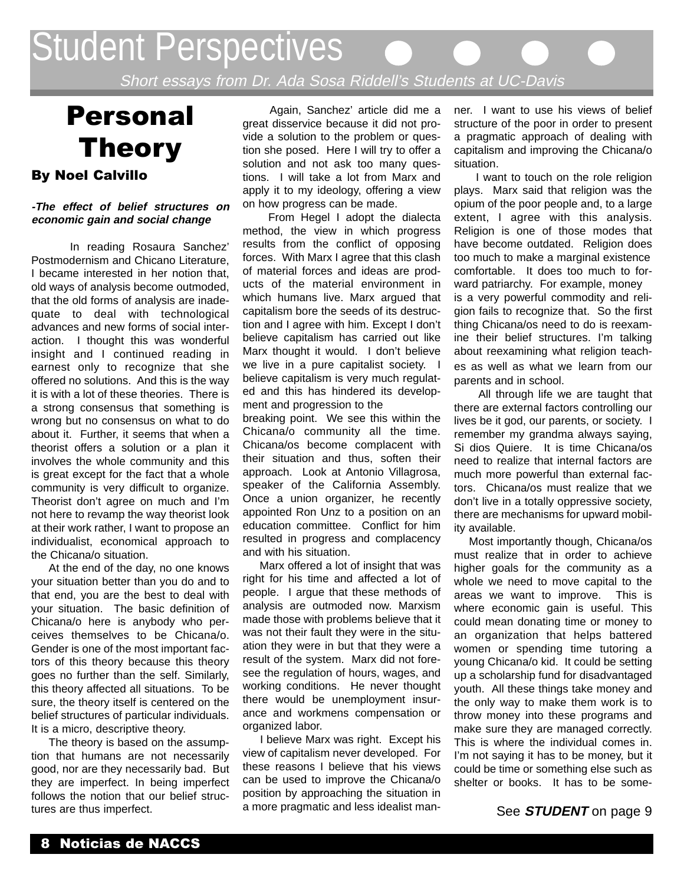## Student Perspectives

Short essays from Dr. Ada Sosa Riddell's Students at UC-Davis

## Personal Theory By Noel Calvillo

#### **-The effect of belief structures on economic gain and social change**

In reading Rosaura Sanchez' Postmodernism and Chicano Literature, I became interested in her notion that, old ways of analysis become outmoded, that the old forms of analysis are inadequate to deal with technological advances and new forms of social interaction. I thought this was wonderful insight and I continued reading in earnest only to recognize that she offered no solutions. And this is the way it is with a lot of these theories. There is a strong consensus that something is wrong but no consensus on what to do about it. Further, it seems that when a theorist offers a solution or a plan it involves the whole community and this is great except for the fact that a whole community is very difficult to organize. Theorist don't agree on much and I'm not here to revamp the way theorist look at their work rather, I want to propose an individualist, economical approach to the Chicana/o situation.

At the end of the day, no one knows your situation better than you do and to that end, you are the best to deal with your situation. The basic definition of Chicana/o here is anybody who perceives themselves to be Chicana/o. Gender is one of the most important factors of this theory because this theory goes no further than the self. Similarly, this theory affected all situations. To be sure, the theory itself is centered on the belief structures of particular individuals. It is a micro, descriptive theory.

The theory is based on the assumption that humans are not necessarily good, nor are they necessarily bad. But they are imperfect. In being imperfect follows the notion that our belief structures are thus imperfect.

Again, Sanchez' article did me a great disservice because it did not provide a solution to the problem or question she posed. Here I will try to offer a solution and not ask too many questions. I will take a lot from Marx and apply it to my ideology, offering a view on how progress can be made.

From Hegel I adopt the dialecta method, the view in which progress results from the conflict of opposing forces. With Marx I agree that this clash of material forces and ideas are products of the material environment in which humans live. Marx argued that capitalism bore the seeds of its destruction and I agree with him. Except I don't believe capitalism has carried out like Marx thought it would. I don't believe we live in a pure capitalist society. I believe capitalism is very much regulated and this has hindered its development and progression to the

breaking point. We see this within the Chicana/o community all the time. Chicana/os become complacent with their situation and thus, soften their approach. Look at Antonio Villagrosa, speaker of the California Assembly. Once a union organizer, he recently appointed Ron Unz to a position on an education committee. Conflict for him resulted in progress and complacency and with his situation.

Marx offered a lot of insight that was right for his time and affected a lot of people. I argue that these methods of analysis are outmoded now. Marxism made those with problems believe that it was not their fault they were in the situation they were in but that they were a result of the system. Marx did not foresee the regulation of hours, wages, and working conditions. He never thought there would be unemployment insurance and workmens compensation or organized labor.

I believe Marx was right. Except his view of capitalism never developed. For these reasons I believe that his views can be used to improve the Chicana/o position by approaching the situation in a more pragmatic and less idealist manner. I want to use his views of belief structure of the poor in order to present a pragmatic approach of dealing with capitalism and improving the Chicana/o situation.

I want to touch on the role religion plays. Marx said that religion was the opium of the poor people and, to a large extent, I agree with this analysis. Religion is one of those modes that have become outdated. Religion does too much to make a marginal existence comfortable. It does too much to forward patriarchy. For example, money is a very powerful commodity and religion fails to recognize that. So the first thing Chicana/os need to do is reexamine their belief structures. I'm talking about reexamining what religion teaches as well as what we learn from our parents and in school.

All through life we are taught that there are external factors controlling our lives be it god, our parents, or society. I remember my grandma always saying, Si dios Quiere. It is time Chicana/os need to realize that internal factors are much more powerful than external factors. Chicana/os must realize that we don't live in a totally oppressive society, there are mechanisms for upward mobility available.

Most importantly though, Chicana/os must realize that in order to achieve higher goals for the community as a whole we need to move capital to the areas we want to improve. This is where economic gain is useful. This could mean donating time or money to an organization that helps battered women or spending time tutoring a young Chicana/o kid. It could be setting up a scholarship fund for disadvantaged youth. All these things take money and the only way to make them work is to throw money into these programs and make sure they are managed correctly. This is where the individual comes in. I'm not saying it has to be money, but it could be time or something else such as shelter or books. It has to be some-

See **STUDENT** on page 9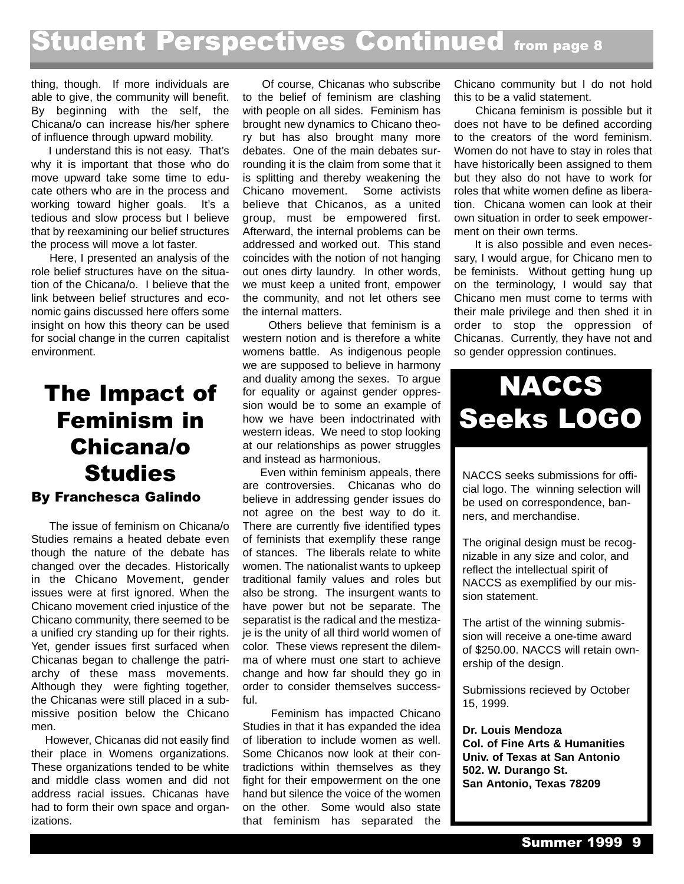## **Student Perspectives Continued from page 8**

thing, though. If more individuals are able to give, the community will benefit. By beginning with the self, the Chicana/o can increase his/her sphere of influence through upward mobility.

I understand this is not easy. That's why it is important that those who do move upward take some time to educate others who are in the process and working toward higher goals. It's a tedious and slow process but I believe that by reexamining our belief structures the process will move a lot faster.

Here, I presented an analysis of the role belief structures have on the situation of the Chicana/o. I believe that the link between belief structures and economic gains discussed here offers some insight on how this theory can be used for social change in the curren capitalist environment.

## The Impact of Feminism in Chicana/o **Studies** By Franchesca Galindo

The issue of feminism on Chicana/o Studies remains a heated debate even though the nature of the debate has changed over the decades. Historically in the Chicano Movement, gender issues were at first ignored. When the Chicano movement cried injustice of the Chicano community, there seemed to be a unified cry standing up for their rights. Yet, gender issues first surfaced when Chicanas began to challenge the patriarchy of these mass movements. Although they were fighting together, the Chicanas were still placed in a submissive position below the Chicano men.

However, Chicanas did not easily find their place in Womens organizations. These organizations tended to be white and middle class women and did not address racial issues. Chicanas have had to form their own space and organizations.

Of course, Chicanas who subscribe to the belief of feminism are clashing with people on all sides. Feminism has brought new dynamics to Chicano theory but has also brought many more debates. One of the main debates surrounding it is the claim from some that it is splitting and thereby weakening the Chicano movement. Some activists believe that Chicanos, as a united group, must be empowered first. Afterward, the internal problems can be addressed and worked out. This stand coincides with the notion of not hanging out ones dirty laundry. In other words, we must keep a united front, empower the community, and not let others see the internal matters.

Others believe that feminism is a western notion and is therefore a white womens battle. As indigenous people we are supposed to believe in harmony and duality among the sexes. To argue for equality or against gender oppression would be to some an example of how we have been indoctrinated with western ideas. We need to stop looking at our relationships as power struggles and instead as harmonious.

Even within feminism appeals, there are controversies. Chicanas who do believe in addressing gender issues do not agree on the best way to do it. There are currently five identified types of feminists that exemplify these range of stances. The liberals relate to white women. The nationalist wants to upkeep traditional family values and roles but also be strong. The insurgent wants to have power but not be separate. The separatist is the radical and the mestizaje is the unity of all third world women of color. These views represent the dilemma of where must one start to achieve change and how far should they go in order to consider themselves successful.

Feminism has impacted Chicano Studies in that it has expanded the idea of liberation to include women as well. Some Chicanos now look at their contradictions within themselves as they fight for their empowerment on the one hand but silence the voice of the women on the other. Some would also state that feminism has separated the Chicano community but I do not hold this to be a valid statement.

Chicana feminism is possible but it does not have to be defined according to the creators of the word feminism. Women do not have to stay in roles that have historically been assigned to them but they also do not have to work for roles that white women define as liberation. Chicana women can look at their own situation in order to seek empowerment on their own terms.

It is also possible and even necessary, I would argue, for Chicano men to be feminists. Without getting hung up on the terminology, I would say that Chicano men must come to terms with their male privilege and then shed it in order to stop the oppression of Chicanas. Currently, they have not and so gender oppression continues.

## NACCS Seeks LOGO

NACCS seeks submissions for official logo. The winning selection will be used on correspondence, banners, and merchandise.

The original design must be recognizable in any size and color, and reflect the intellectual spirit of NACCS as exemplified by our mission statement.

The artist of the winning submission will receive a one-time award of \$250.00. NACCS will retain ownership of the design.

Submissions recieved by October 15, 1999.

**Dr. Louis Mendoza Col. of Fine Arts & Humanities Univ. of Texas at San Antonio 502. W. Durango St. San Antonio, Texas 78209**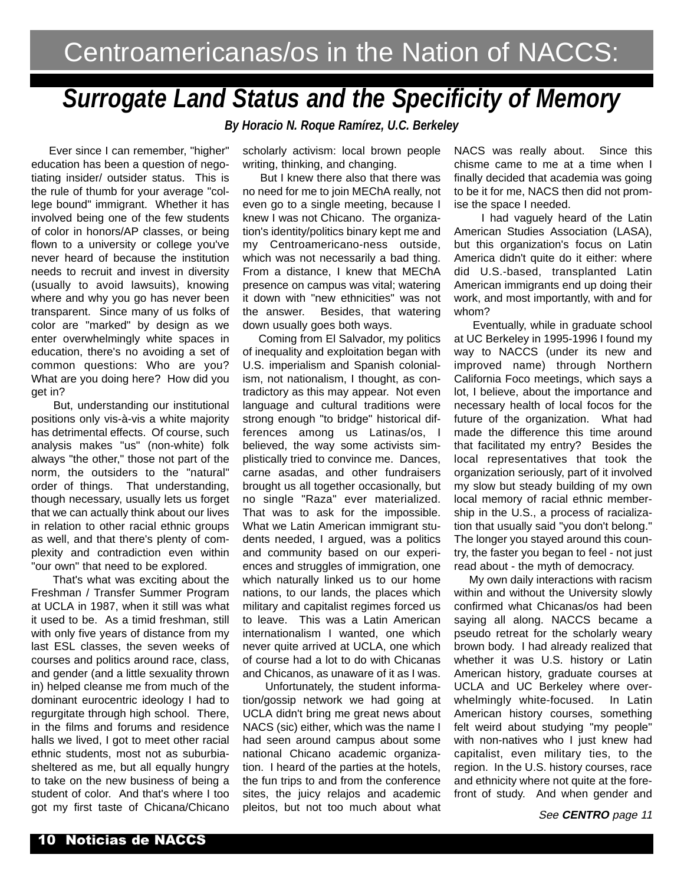## *Surrogate Land Status and the Specificity of Memory*

*By Horacio N. Roque Ramírez, U.C. Berkeley*

Ever since I can remember, "higher" education has been a question of negotiating insider/ outsider status. This is the rule of thumb for your average "college bound" immigrant. Whether it has involved being one of the few students of color in honors/AP classes, or being flown to a university or college you've never heard of because the institution needs to recruit and invest in diversity (usually to avoid lawsuits), knowing where and why you go has never been transparent. Since many of us folks of color are "marked" by design as we enter overwhelmingly white spaces in education, there's no avoiding a set of common questions: Who are you? What are you doing here? How did you get in?

But, understanding our institutional positions only vis-à-vis a white majority has detrimental effects. Of course, such analysis makes "us" (non-white) folk always "the other," those not part of the norm, the outsiders to the "natural" order of things. That understanding, though necessary, usually lets us forget that we can actually think about our lives in relation to other racial ethnic groups as well, and that there's plenty of complexity and contradiction even within "our own" that need to be explored.

That's what was exciting about the Freshman / Transfer Summer Program at UCLA in 1987, when it still was what it used to be. As a timid freshman, still with only five years of distance from my last ESL classes, the seven weeks of courses and politics around race, class, and gender (and a little sexuality thrown in) helped cleanse me from much of the dominant eurocentric ideology I had to regurgitate through high school. There, in the films and forums and residence halls we lived. I got to meet other racial ethnic students, most not as suburbiasheltered as me, but all equally hungry to take on the new business of being a student of color. And that's where I too got my first taste of Chicana/Chicano

scholarly activism: local brown people writing, thinking, and changing.

But I knew there also that there was no need for me to join MEChA really, not even go to a single meeting, because I knew I was not Chicano. The organization's identity/politics binary kept me and my Centroamericano-ness outside, which was not necessarily a bad thing. From a distance, I knew that MEChA presence on campus was vital; watering it down with "new ethnicities" was not the answer. Besides, that watering down usually goes both ways.

Coming from El Salvador, my politics of inequality and exploitation began with U.S. imperialism and Spanish colonialism, not nationalism, I thought, as contradictory as this may appear. Not even language and cultural traditions were strong enough "to bridge" historical differences among us Latinas/os, I believed, the way some activists simplistically tried to convince me. Dances, carne asadas, and other fundraisers brought us all together occasionally, but no single "Raza" ever materialized. That was to ask for the impossible. What we Latin American immigrant students needed, I argued, was a politics and community based on our experiences and struggles of immigration, one which naturally linked us to our home nations, to our lands, the places which military and capitalist regimes forced us to leave. This was a Latin American internationalism I wanted, one which never quite arrived at UCLA, one which of course had a lot to do with Chicanas and Chicanos, as unaware of it as I was.

Unfortunately, the student information/gossip network we had going at UCLA didn't bring me great news about NACS (sic) either, which was the name I had seen around campus about some national Chicano academic organization. I heard of the parties at the hotels, the fun trips to and from the conference sites, the juicy relajos and academic pleitos, but not too much about what

NACS was really about. Since this chisme came to me at a time when I finally decided that academia was going to be it for me, NACS then did not promise the space I needed.

I had vaguely heard of the Latin American Studies Association (LASA), but this organization's focus on Latin America didn't quite do it either: where did U.S.-based, transplanted Latin American immigrants end up doing their work, and most importantly, with and for whom?

Eventually, while in graduate school at UC Berkeley in 1995-1996 I found my way to NACCS (under its new and improved name) through Northern California Foco meetings, which says a lot, I believe, about the importance and necessary health of local focos for the future of the organization. What had made the difference this time around that facilitated my entry? Besides the local representatives that took the organization seriously, part of it involved my slow but steady building of my own local memory of racial ethnic membership in the U.S., a process of racialization that usually said "you don't belong." The longer you stayed around this country, the faster you began to feel - not just read about - the myth of democracy.

My own daily interactions with racism within and without the University slowly confirmed what Chicanas/os had been saying all along. NACCS became a pseudo retreat for the scholarly weary brown body. I had already realized that whether it was U.S. history or Latin American history, graduate courses at UCLA and UC Berkeley where overwhelmingly white-focused. In Latin American history courses, something felt weird about studying "my people" with non-natives who I just knew had capitalist, even military ties, to the region. In the U.S. history courses, race and ethnicity where not quite at the forefront of study. And when gender and

See **CENTRO** page 11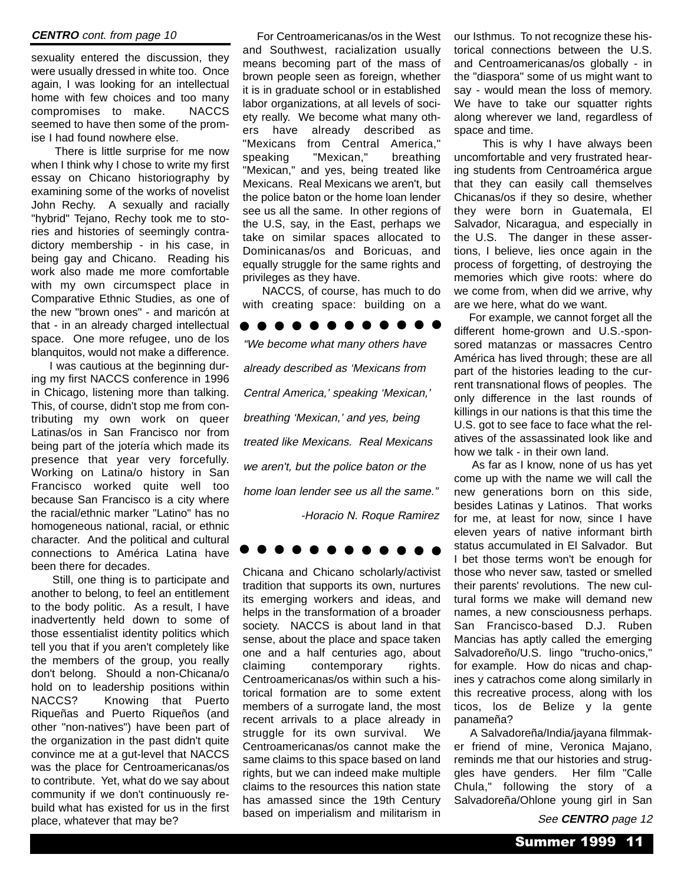#### **CENTRO** cont. from page 10

sexuality entered the discussion, they were usually dressed in white too. Once again, I was looking for an intellectual home with few choices and too many compromises to make. NACCS seemed to have then some of the promise I had found nowhere else.

There is little surprise for me now when I think why I chose to write my first essay on Chicano historiography by examining some of the works of novelist John Rechy. A sexually and racially "hybrid" Tejano, Rechy took me to stories and histories of seemingly contradictory membership - in his case, in being gay and Chicano. Reading his work also made me more comfortable with my own circumspect place in Comparative Ethnic Studies, as one of the new "brown ones" - and maricón at that - in an already charged intellectual space. One more refugee, uno de los blanquitos, would not make a difference.

I was cautious at the beginning during my first NACCS conference in 1996 in Chicago, listening more than talking. This, of course, didn't stop me from contributing my own work on queer Latinas/os in San Francisco nor from being part of the jotería which made its presence that year very forcefully. Working on Latina/o history in San Francisco worked quite well too because San Francisco is a city where the racial/ethnic marker "Latino" has no homogeneous national, racial, or ethnic character. And the political and cultural connections to América Latina have been there for decades.

Still, one thing is to participate and another to belong, to feel an entitlement to the body politic. As a result, I have inadvertently held down to some of those essentialist identity politics which tell you that if you aren't completely like the members of the group, you really don't belong. Should a non-Chicana/o hold on to leadership positions within NACCS? Knowing that Puerto Riqueñas and Puerto Riqueños (and other "non-natives") have been part of the organization in the past didn't quite convince me at a gut-level that NACCS was the place for Centroamericanas/os to contribute. Yet, what do we say about community if we don't continuously rebuild what has existed for us in the first place, whatever that may be?

For Centroamericanas/os in the West and Southwest, racialization usually means becoming part of the mass of brown people seen as foreign, whether it is in graduate school or in established labor organizations, at all levels of society really. We become what many others have already described as "Mexicans from Central America," speaking "Mexican," breathing "Mexican," and yes, being treated like Mexicans. Real Mexicans we aren't, but the police baton or the home loan lender see us all the same. In other regions of the U.S, say, in the East, perhaps we take on similar spaces allocated to Dominicanas/os and Boricuas, and equally struggle for the same rights and privileges as they have.

NACCS, of course, has much to do with creating space: building on a

#### 

"We become what many others have already described as 'Mexicans from Central America,' speaking 'Mexican,' breathing 'Mexican,' and yes, being treated like Mexicans. Real Mexicans we aren't, but the police baton or the home loan lender see us all the same." -Horacio N. Roque Ramirez



Chicana and Chicano scholarly/activist tradition that supports its own, nurtures its emerging workers and ideas, and helps in the transformation of a broader society. NACCS is about land in that sense, about the place and space taken one and a half centuries ago, about claiming contemporary rights. Centroamericanas/os within such a historical formation are to some extent members of a surrogate land, the most recent arrivals to a place already in struggle for its own survival. We Centroamericanas/os cannot make the same claims to this space based on land rights, but we can indeed make multiple claims to the resources this nation state has amassed since the 19th Century based on imperialism and militarism in

our Isthmus. To not recognize these historical connections between the U.S. and Centroamericanas/os globally - in the "diaspora" some of us might want to say - would mean the loss of memory. We have to take our squatter rights along wherever we land, regardless of space and time.

This is why I have always been uncomfortable and very frustrated hearing students from Centroamérica argue that they can easily call themselves Chicanas/os if they so desire, whether they were born in Guatemala, El Salvador, Nicaragua, and especially in the U.S. The danger in these assertions, I believe, lies once again in the process of forgetting, of destroying the memories which give roots: where do we come from, when did we arrive, why are we here, what do we want.

For example, we cannot forget all the different home-grown and U.S.-sponsored matanzas or massacres Centro América has lived through; these are all part of the histories leading to the current transnational flows of peoples. The only difference in the last rounds of killings in our nations is that this time the U.S. got to see face to face what the relatives of the assassinated look like and how we talk - in their own land.

As far as I know, none of us has yet come up with the name we will call the new generations born on this side, besides Latinas y Latinos. That works for me, at least for now, since I have eleven years of native informant birth status accumulated in El Salvador. But I bet those terms won't be enough for those who never saw, tasted or smelled their parents' revolutions. The new cultural forms we make will demand new names, a new consciousness perhaps. San Francisco-based D.J. Ruben Mancias has aptly called the emerging Salvadoreño/U.S. lingo "trucho-onics," for example. How do nicas and chapines y catrachos come along similarly in this recreative process, along with los ticos, los de Belize y la gente panameña?

A Salvadoreña/India/jayana filmmaker friend of mine, Veronica Majano, reminds me that our histories and struggles have genders. Her film "Calle Chula," following the story of a Salvadoreña/Ohlone young girl in San

See **CENTRO** page 12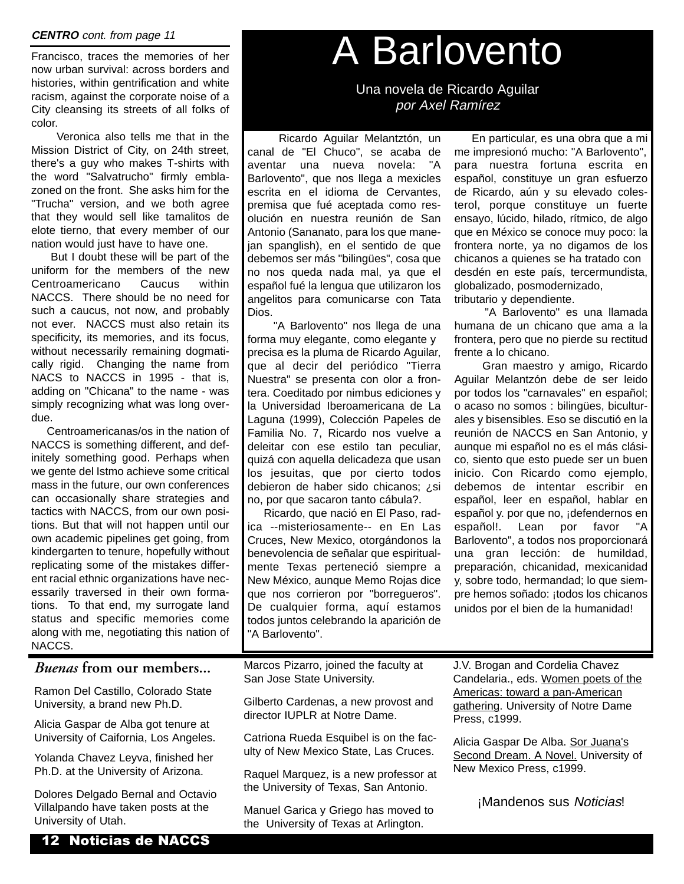#### **CENTRO** cont. from page 11

Francisco, traces the memories of her now urban survival: across borders and histories, within gentrification and white racism, against the corporate noise of a City cleansing its streets of all folks of color.

Veronica also tells me that in the Mission District of City, on 24th street, there's a guy who makes T-shirts with the word "Salvatrucho" firmly emblazoned on the front. She asks him for the "Trucha" version, and we both agree that they would sell like tamalitos de elote tierno, that every member of our nation would just have to have one.

But I doubt these will be part of the uniform for the members of the new Centroamericano Caucus within NACCS. There should be no need for such a caucus, not now, and probably not ever. NACCS must also retain its specificity, its memories, and its focus, without necessarily remaining dogmatically rigid. Changing the name from NACS to NACCS in 1995 - that is, adding on "Chicana" to the name - was simply recognizing what was long overdue.

Centroamericanas/os in the nation of NACCS is something different, and definitely something good. Perhaps when we gente del Istmo achieve some critical mass in the future, our own conferences can occasionally share strategies and tactics with NACCS, from our own positions. But that will not happen until our own academic pipelines get going, from kindergarten to tenure, hopefully without replicating some of the mistakes different racial ethnic organizations have necessarily traversed in their own formations. To that end, my surrogate land status and specific memories come along with me, negotiating this nation of NACCS.

#### *Buenas* **from our members...**

Ramon Del Castillo, Colorado State University, a brand new Ph.D.

Alicia Gaspar de Alba got tenure at University of Caifornia, Los Angeles.

Yolanda Chavez Leyva, finished her Ph.D. at the University of Arizona.

Dolores Delgado Bernal and Octavio Villalpando have taken posts at the University of Utah.

## A Barlovento

Una novela de Ricardo Aguilar por Axel Ramírez

Ricardo Aguilar Melantztón, un canal de "El Chuco", se acaba de aventar una nueva novela: "A Barlovento", que nos llega a mexicles escrita en el idioma de Cervantes, premisa que fué aceptada como resolución en nuestra reunión de San Antonio (Sananato, para los que manejan spanglish), en el sentido de que debemos ser más "bilingües", cosa que no nos queda nada mal, ya que el español fué la lengua que utilizaron los angelitos para comunicarse con Tata Dios.

"A Barlovento" nos llega de una forma muy elegante, como elegante y precisa es la pluma de Ricardo Aguilar, que al decir del periódico "Tierra Nuestra" se presenta con olor a frontera. Coeditado por nimbus ediciones y la Universidad Iberoamericana de La Laguna (1999), Colección Papeles de Familia No. 7, Ricardo nos vuelve a deleitar con ese estilo tan peculiar, quizá con aquella delicadeza que usan los jesuitas, que por cierto todos debieron de haber sido chicanos; ¿si no, por que sacaron tanto cábula?.

Ricardo, que nació en El Paso, radica --misteriosamente-- en En Las Cruces, New Mexico, otorgándonos la benevolencia de señalar que espiritualmente Texas perteneció siempre a New México, aunque Memo Rojas dice que nos corrieron por "borregueros". De cualquier forma, aquí estamos todos juntos celebrando la aparición de "A Barlovento".

En particular, es una obra que a mi me impresionó mucho: "A Barlovento", para nuestra fortuna escrita en español, constituye un gran esfuerzo de Ricardo, aún y su elevado colesterol, porque constituye un fuerte ensayo, lúcido, hilado, rítmico, de algo que en México se conoce muy poco: la frontera norte, ya no digamos de los chicanos a quienes se ha tratado con desdén en este país, tercermundista, globalizado, posmodernizado, tributario y dependiente.

"A Barlovento" es una llamada humana de un chicano que ama a la frontera, pero que no pierde su rectitud frente a lo chicano.

Gran maestro y amigo, Ricardo Aguilar Melantzón debe de ser leido por todos los "carnavales" en español; o acaso no somos : bilingües, biculturales y bisensibles. Eso se discutió en la reunión de NACCS en San Antonio, y aunque mi español no es el más clásico, siento que esto puede ser un buen inicio. Con Ricardo como ejemplo, debemos de intentar escribir en español, leer en español, hablar en español y. por que no, ¡defendernos en español!. Lean por favor "A Barlovento", a todos nos proporcionará una gran lección: de humildad, preparación, chicanidad, mexicanidad y, sobre todo, hermandad; lo que siempre hemos soñado: ¡todos los chicanos unidos por el bien de la humanidad!

Marcos Pizarro, joined the faculty at San Jose State University.

Gilberto Cardenas, a new provost and director IUPLR at Notre Dame.

Catriona Rueda Esquibel is on the faculty of New Mexico State, Las Cruces.

Raquel Marquez, is a new professor at the University of Texas, San Antonio.

Manuel Garica y Griego has moved to the University of Texas at Arlington.

J.V. Brogan and Cordelia Chavez Candelaria., eds. Women poets of the Americas: toward a pan-American gathering. University of Notre Dame Press, c1999.

Alicia Gaspar De Alba. Sor Juana's Second Dream. A Novel. University of New Mexico Press, c1999.

iMandenos sus Noticias!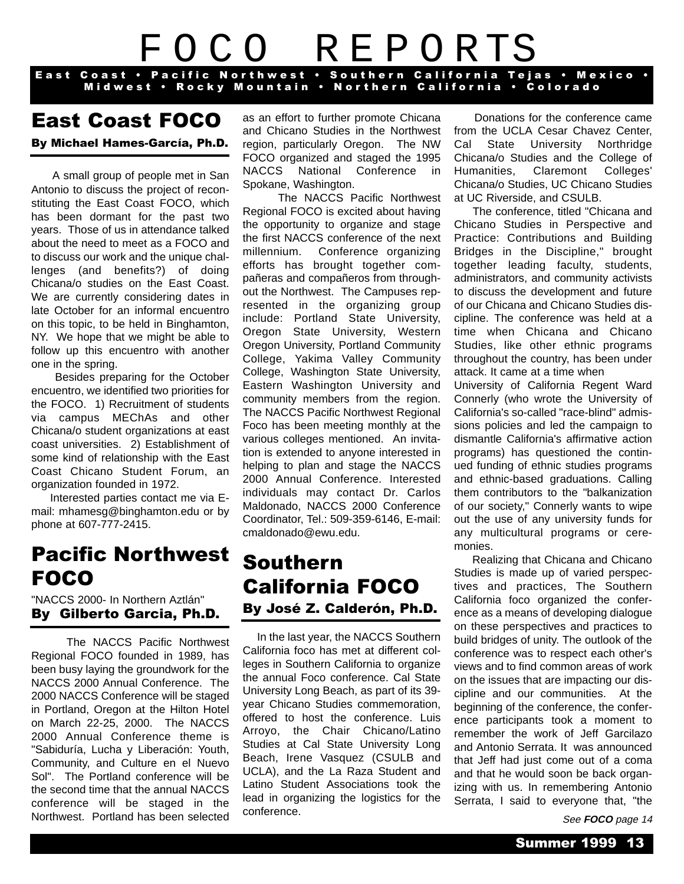## F O C O R E P O RTS

East Coast · Pacific Northwest · Southern California Tejas · Mexico · Midwest · Rocky Mountain · Northern California · Colorado

### East Coast FOCO

By Michael Hames-García, Ph.D.

A small group of people met in San Antonio to discuss the project of reconstituting the East Coast FOCO, which has been dormant for the past two years. Those of us in attendance talked about the need to meet as a FOCO and to discuss our work and the unique challenges (and benefits?) of doing Chicana/o studies on the East Coast. We are currently considering dates in late October for an informal encuentro on this topic, to be held in Binghamton, NY. We hope that we might be able to follow up this encuentro with another one in the spring.

Besides preparing for the October encuentro, we identified two priorities for the FOCO. 1) Recruitment of students via campus MEChAs and other Chicana/o student organizations at east coast universities. 2) Establishment of some kind of relationship with the East Coast Chicano Student Forum, an organization founded in 1972.

Interested parties contact me via Email: mhamesg@binghamton.edu or by phone at 607-777-2415.

## Pacific Northwest FOCO

"NACCS 2000- In Northern Aztlán" By Gilberto Garcia, Ph.D.

The NACCS Pacific Northwest Regional FOCO founded in 1989, has been busy laying the groundwork for the NACCS 2000 Annual Conference. The 2000 NACCS Conference will be staged in Portland, Oregon at the Hilton Hotel on March 22-25, 2000. The NACCS 2000 Annual Conference theme is "Sabiduría, Lucha y Liberación: Youth, Community, and Culture en el Nuevo Sol". The Portland conference will be the second time that the annual NACCS conference will be staged in the Northwest. Portland has been selected

as an effort to further promote Chicana and Chicano Studies in the Northwest region, particularly Oregon. The NW FOCO organized and staged the 1995 NACCS National Conference in Spokane, Washington.

The NACCS Pacific Northwest Regional FOCO is excited about having the opportunity to organize and stage the first NACCS conference of the next millennium. Conference organizing efforts has brought together compañeras and compañeros from throughout the Northwest. The Campuses represented in the organizing group include: Portland State University, Oregon State University, Western Oregon University, Portland Community College, Yakima Valley Community College, Washington State University, Eastern Washington University and community members from the region. The NACCS Pacific Northwest Regional Foco has been meeting monthly at the various colleges mentioned. An invitation is extended to anyone interested in helping to plan and stage the NACCS 2000 Annual Conference. Interested individuals may contact Dr. Carlos Maldonado, NACCS 2000 Conference Coordinator, Tel.: 509-359-6146, E-mail: cmaldonado@ewu.edu.

## Southern California FOCO By José Z. Calderón, Ph.D.

In the last year, the NACCS Southern California foco has met at different colleges in Southern California to organize the annual Foco conference. Cal State University Long Beach, as part of its 39 year Chicano Studies commemoration, offered to host the conference. Luis Arroyo, the Chair Chicano/Latino Studies at Cal State University Long Beach, Irene Vasquez (CSULB and UCLA), and the La Raza Student and Latino Student Associations took the lead in organizing the logistics for the conference.

Donations for the conference came from the UCLA Cesar Chavez Center, Cal State University Northridge Chicana/o Studies and the College of Humanities, Claremont Colleges' Chicana/o Studies, UC Chicano Studies at UC Riverside, and CSULB.

The conference, titled "Chicana and Chicano Studies in Perspective and Practice: Contributions and Building Bridges in the Discipline," brought together leading faculty, students, administrators, and community activists to discuss the development and future of our Chicana and Chicano Studies discipline. The conference was held at a time when Chicana and Chicano Studies, like other ethnic programs throughout the country, has been under attack. It came at a time when

University of California Regent Ward Connerly (who wrote the University of California's so-called "race-blind" admissions policies and led the campaign to dismantle California's affirmative action programs) has questioned the continued funding of ethnic studies programs and ethnic-based graduations. Calling them contributors to the "balkanization of our society," Connerly wants to wipe out the use of any university funds for any multicultural programs or ceremonies.

Realizing that Chicana and Chicano Studies is made up of varied perspectives and practices, The Southern California foco organized the conference as a means of developing dialogue on these perspectives and practices to build bridges of unity. The outlook of the conference was to respect each other's views and to find common areas of work on the issues that are impacting our discipline and our communities. At the beginning of the conference, the conference participants took a moment to remember the work of Jeff Garcilazo and Antonio Serrata. It was announced that Jeff had just come out of a coma and that he would soon be back organizing with us. In remembering Antonio Serrata, I said to everyone that, "the

See **FOCO** page 14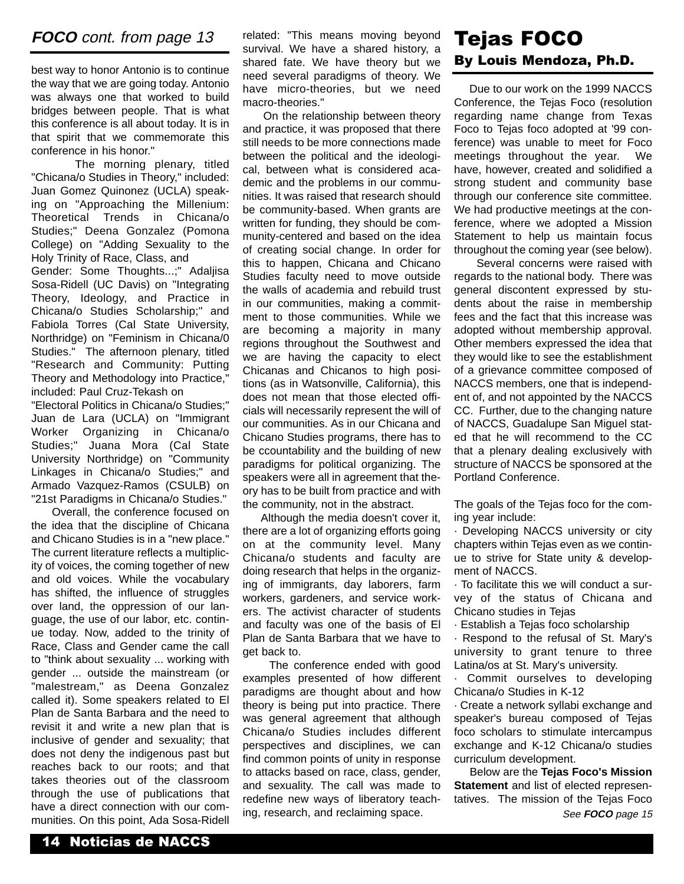#### **FOCO** cont. from page 13

best way to honor Antonio is to continue the way that we are going today. Antonio was always one that worked to build bridges between people. That is what this conference is all about today. It is in that spirit that we commemorate this conference in his honor."

The morning plenary, titled "Chicana/o Studies in Theory," included: Juan Gomez Quinonez (UCLA) speaking on "Approaching the Millenium: Theoretical Trends in Chicana/o Studies;" Deena Gonzalez (Pomona College) on "Adding Sexuality to the Holy Trinity of Race, Class, and Gender: Some Thoughts...;" Adaljisa Sosa-Ridell (UC Davis) on "Integrating Theory, Ideology, and Practice in Chicana/o Studies Scholarship;" and Fabiola Torres (Cal State University, Northridge) on "Feminism in Chicana/0 Studies." The afternoon plenary, titled "Research and Community: Putting Theory and Methodology into Practice," included: Paul Cruz-Tekash on

"Electoral Politics in Chicana/o Studies;" Juan de Lara (UCLA) on "Immigrant Worker Organizing in Chicana/o Studies;" Juana Mora (Cal State University Northridge) on "Community Linkages in Chicana/o Studies;" and Armado Vazquez-Ramos (CSULB) on "21st Paradigms in Chicana/o Studies."

Overall, the conference focused on the idea that the discipline of Chicana and Chicano Studies is in a "new place." The current literature reflects a multiplicity of voices, the coming together of new and old voices. While the vocabulary has shifted, the influence of struggles over land, the oppression of our language, the use of our labor, etc. continue today. Now, added to the trinity of Race, Class and Gender came the call to "think about sexuality ... working with gender ... outside the mainstream (or "malestream," as Deena Gonzalez called it). Some speakers related to El Plan de Santa Barbara and the need to revisit it and write a new plan that is inclusive of gender and sexuality; that does not deny the indigenous past but reaches back to our roots; and that takes theories out of the classroom through the use of publications that have a direct connection with our communities. On this point, Ada Sosa-Ridell

related: "This means moving beyond survival. We have a shared history, a shared fate. We have theory but we need several paradigms of theory. We have micro-theories, but we need macro-theories."

On the relationship between theory and practice, it was proposed that there still needs to be more connections made between the political and the ideological, between what is considered academic and the problems in our communities. It was raised that research should be community-based. When grants are written for funding, they should be community-centered and based on the idea of creating social change. In order for this to happen, Chicana and Chicano Studies faculty need to move outside the walls of academia and rebuild trust in our communities, making a commitment to those communities. While we are becoming a majority in many regions throughout the Southwest and we are having the capacity to elect Chicanas and Chicanos to high positions (as in Watsonville, California), this does not mean that those elected officials will necessarily represent the will of our communities. As in our Chicana and Chicano Studies programs, there has to be ccountability and the building of new paradigms for political organizing. The speakers were all in agreement that theory has to be built from practice and with the community, not in the abstract.

Although the media doesn't cover it, there are a lot of organizing efforts going on at the community level. Many Chicana/o students and faculty are doing research that helps in the organizing of immigrants, day laborers, farm workers, gardeners, and service workers. The activist character of students and faculty was one of the basis of El Plan de Santa Barbara that we have to get back to.

The conference ended with good examples presented of how different paradigms are thought about and how theory is being put into practice. There was general agreement that although Chicana/o Studies includes different perspectives and disciplines, we can find common points of unity in response to attacks based on race, class, gender, and sexuality. The call was made to redefine new ways of liberatory teaching, research, and reclaiming space.

### Tejas FOCO By Louis Mendoza, Ph.D.

Due to our work on the 1999 NACCS Conference, the Tejas Foco (resolution regarding name change from Texas Foco to Tejas foco adopted at '99 conference) was unable to meet for Foco meetings throughout the year. We have, however, created and solidified a strong student and community base through our conference site committee. We had productive meetings at the conference, where we adopted a Mission Statement to help us maintain focus throughout the coming year (see below).

Several concerns were raised with regards to the national body. There was general discontent expressed by students about the raise in membership fees and the fact that this increase was adopted without membership approval. Other members expressed the idea that they would like to see the establishment of a grievance committee composed of NACCS members, one that is independent of, and not appointed by the NACCS CC. Further, due to the changing nature of NACCS, Guadalupe San Miguel stated that he will recommend to the CC that a plenary dealing exclusively with structure of NACCS be sponsored at the Portland Conference.

The goals of the Tejas foco for the coming year include:

· Developing NACCS university or city chapters within Tejas even as we continue to strive for State unity & development of NACCS.

· To facilitate this we will conduct a survey of the status of Chicana and Chicano studies in Tejas

· Establish a Tejas foco scholarship

· Respond to the refusal of St. Mary's university to grant tenure to three Latina/os at St. Mary's university.

Commit ourselves to developing Chicana/o Studies in K-12

· Create a network syllabi exchange and speaker's bureau composed of Tejas foco scholars to stimulate intercampus exchange and K-12 Chicana/o studies curriculum development.

Below are the **Tejas Foco's Mission Statement** and list of elected representatives. The mission of the Tejas Foco See **FOCO** page 15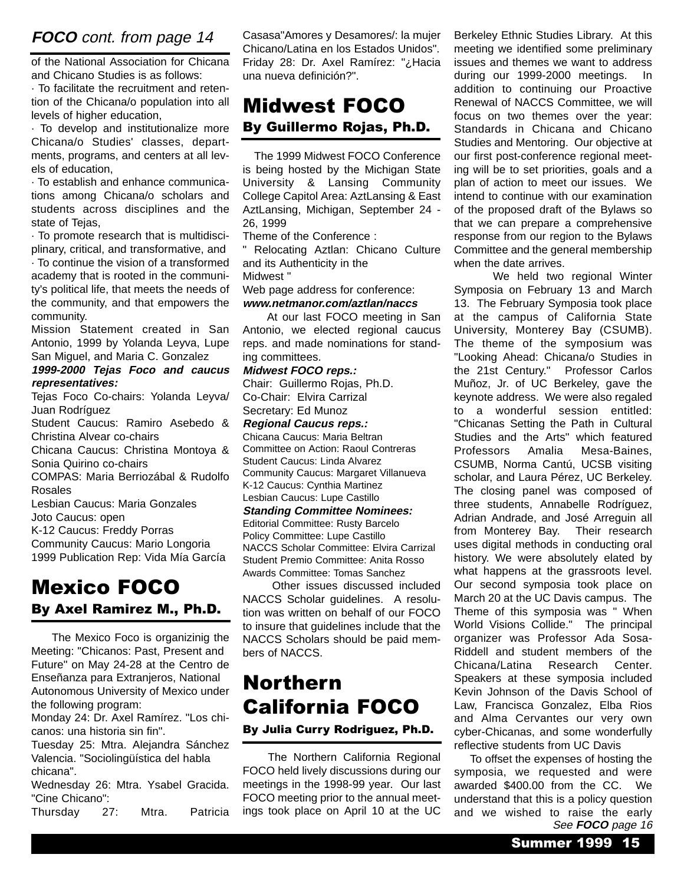#### **FOCO** cont. from page 14

of the National Association for Chicana and Chicano Studies is as follows:

· To facilitate the recruitment and retention of the Chicana/o population into all levels of higher education,

· To develop and institutionalize more Chicana/o Studies' classes, departments, programs, and centers at all levels of education,

· To establish and enhance communications among Chicana/o scholars and students across disciplines and the state of Tejas,

· To promote research that is multidisciplinary, critical, and transformative, and

· To continue the vision of a transformed academy that is rooted in the community's political life, that meets the needs of the community, and that empowers the community.

Mission Statement created in San Antonio, 1999 by Yolanda Leyva, Lupe San Miguel, and Maria C. Gonzalez

**1999-2000 Tejas Foco and caucus representatives:**

Tejas Foco Co-chairs: Yolanda Leyva/ Juan Rodríguez

Student Caucus: Ramiro Asebedo & Christina Alvear co-chairs

Chicana Caucus: Christina Montoya & Sonia Quirino co-chairs

COMPAS: Maria Berriozábal & Rudolfo

Rosales

Lesbian Caucus: Maria Gonzales Joto Caucus: open

K-12 Caucus: Freddy Porras

Community Caucus: Mario Longoria 1999 Publication Rep: Vida Mía García

### Mexico FOCO By Axel Ramirez M., Ph.D.

The Mexico Foco is organizinig the Meeting: "Chicanos: Past, Present and Future" on May 24-28 at the Centro de Enseñanza para Extranjeros, National Autonomous University of Mexico under the following program:

Monday 24: Dr. Axel Ramírez. "Los chicanos: una historia sin fin".

Tuesday 25: Mtra. Alejandra Sánchez Valencia. "Sociolingüística del habla chicana".

Wednesday 26: Mtra. Ysabel Gracida. "Cine Chicano":

Thursday 27: Mtra. Patricia

Casasa"Amores y Desamores/: la mujer Chicano/Latina en los Estados Unidos". Friday 28: Dr. Axel Ramírez: "¿Hacia una nueva definición?".

### Midwest FOCO By Guillermo Rojas, Ph.D.

The 1999 Midwest FOCO Conference is being hosted by the Michigan State University & Lansing Community College Capitol Area: AztLansing & East AztLansing, Michigan, September 24 - 26, 1999

Theme of the Conference :

" Relocating Aztlan: Chicano Culture and its Authenticity in the

Midwest "

Web page address for conference:

#### **www.netmanor.com/aztlan/naccs**

At our last FOCO meeting in San Antonio, we elected regional caucus reps. and made nominations for standing committees.

#### **Midwest FOCO reps.:**

Chair: Guillermo Rojas, Ph.D. Co-Chair: Elvira Carrizal Secretary: Ed Munoz

**Regional Caucus reps.:**

Chicana Caucus: Maria Beltran Committee on Action: Raoul Contreras Student Caucus: Linda Alvarez Community Caucus: Margaret Villanueva K-12 Caucus: Cynthia Martinez Lesbian Caucus: Lupe Castillo

#### **Standing Committee Nominees:**

Editorial Committee: Rusty Barcelo Policy Committee: Lupe Castillo NACCS Scholar Committee: Elvira Carrizal Student Premio Committee: Anita Rosso Awards Committee: Tomas Sanchez

Other issues discussed included NACCS Scholar guidelines. A resolution was written on behalf of our FOCO to insure that guidelines include that the NACCS Scholars should be paid members of NACCS.

## Northern California FOCO

#### By Julia Curry Rodriguez, Ph.D.

The Northern California Regional FOCO held lively discussions during our meetings in the 1998-99 year. Our last FOCO meeting prior to the annual meetings took place on April 10 at the UC Berkeley Ethnic Studies Library. At this meeting we identified some preliminary issues and themes we want to address during our 1999-2000 meetings. In addition to continuing our Proactive Renewal of NACCS Committee, we will focus on two themes over the year: Standards in Chicana and Chicano Studies and Mentoring. Our objective at our first post-conference regional meeting will be to set priorities, goals and a plan of action to meet our issues. We intend to continue with our examination of the proposed draft of the Bylaws so that we can prepare a comprehensive response from our region to the Bylaws Committee and the general membership when the date arrives.

We held two regional Winter Symposia on February 13 and March 13. The February Symposia took place at the campus of California State University, Monterey Bay (CSUMB). The theme of the symposium was "Looking Ahead: Chicana/o Studies in the 21st Century." Professor Carlos Muñoz, Jr. of UC Berkeley, gave the keynote address. We were also regaled to a wonderful session entitled: "Chicanas Setting the Path in Cultural Studies and the Arts" which featured Professors Amalia Mesa-Baines, CSUMB, Norma Cantú, UCSB visiting scholar, and Laura Pérez, UC Berkeley. The closing panel was composed of three students, Annabelle Rodríguez, Adrian Andrade, and José Arreguin all from Monterey Bay. Their research uses digital methods in conducting oral history. We were absolutely elated by what happens at the grassroots level. Our second symposia took place on March 20 at the UC Davis campus. The Theme of this symposia was " When World Visions Collide." The principal organizer was Professor Ada Sosa-Riddell and student members of the Chicana/Latina Research Center. Speakers at these symposia included Kevin Johnson of the Davis School of Law, Francisca Gonzalez, Elba Rios and Alma Cervantes our very own cyber-Chicanas, and some wonderfully reflective students from UC Davis

To offset the expenses of hosting the symposia, we requested and were awarded \$400.00 from the CC. We understand that this is a policy question and we wished to raise the early See **FOCO** page 16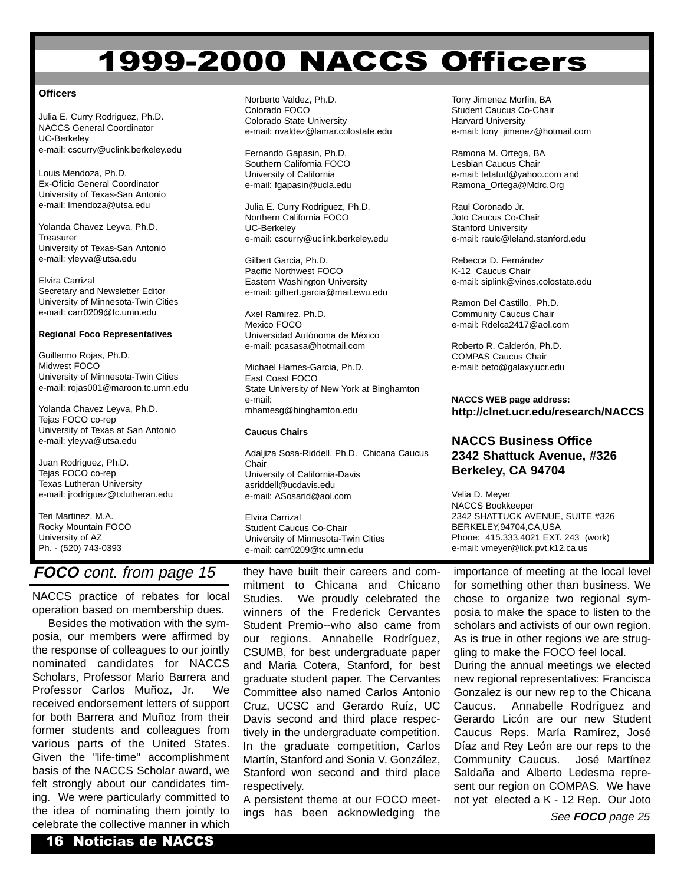## 1999-2000 NACCS Officers

#### **Officers**

Julia E. Curry Rodriguez, Ph.D. NACCS General Coordinator UC-Berkeley e-mail: cscurry@uclink.berkeley.edu

Louis Mendoza, Ph.D. Ex-Oficio General Coordinator University of Texas-San Antonio e-mail: lmendoza@utsa.edu

Yolanda Chavez Leyva, Ph.D. **Treasurer** University of Texas-San Antonio e-mail: yleyva@utsa.edu

Elvira Carrizal Secretary and Newsletter Editor University of Minnesota-Twin Cities e-mail: carr0209@tc.umn.edu

#### **Regional Foco Representatives**

Guillermo Rojas, Ph.D. Midwest FOCO University of Minnesota-Twin Cities e-mail: rojas001@maroon.tc.umn.edu

Yolanda Chavez Leyva, Ph.D. Tejas FOCO co-rep University of Texas at San Antonio e-mail: yleyva@utsa.edu

Juan Rodriguez, Ph.D. Tejas FOCO co-rep Texas Lutheran University e-mail: jrodriguez@txlutheran.edu

Teri Martinez, M.A. Rocky Mountain FOCO University of AZ Ph. - (520) 743-0393

#### **FOCO** cont. from page 15

NACCS practice of rebates for local operation based on membership dues.

Besides the motivation with the symposia, our members were affirmed by the response of colleagues to our jointly nominated candidates for NACCS Scholars, Professor Mario Barrera and Professor Carlos Muñoz, Jr. We received endorsement letters of support for both Barrera and Muñoz from their former students and colleagues from various parts of the United States. Given the "life-time" accomplishment basis of the NACCS Scholar award, we felt strongly about our candidates timing. We were particularly committed to the idea of nominating them jointly to celebrate the collective manner in which

Norberto Valdez, Ph.D. Colorado FOCO Colorado State University e-mail: nvaldez@lamar.colostate.edu

Fernando Gapasin, Ph.D. Southern California FOCO University of California e-mail: fgapasin@ucla.edu

Julia E. Curry Rodriguez, Ph.D. Northern California FOCO UC-Berkeley e-mail: cscurry@uclink.berkeley.edu

Gilbert Garcia, Ph.D. Pacific Northwest FOCO Eastern Washington University e-mail: gilbert.garcia@mail.ewu.edu

Axel Ramirez, Ph.D. Mexico FOCO Universidad Autónoma de México e-mail: pcasasa@hotmail.com

Michael Hames-Garcia, Ph.D. East Coast FOCO State University of New York at Binghamton e-mail: mhamesg@binghamton.edu

#### **Caucus Chairs**

Adaljiza Sosa-Riddell, Ph.D. Chicana Caucus Chair University of California-Davis asriddell@ucdavis.edu e-mail: ASosarid@aol.com

Elvira Carrizal Student Caucus Co-Chair University of Minnesota-Twin Cities e-mail: carr0209@tc.umn.edu

they have built their careers and commitment to Chicana and Chicano Studies. We proudly celebrated the winners of the Frederick Cervantes Student Premio--who also came from our regions. Annabelle Rodríguez, CSUMB, for best undergraduate paper and Maria Cotera, Stanford, for best graduate student paper. The Cervantes Committee also named Carlos Antonio Cruz, UCSC and Gerardo Ruíz, UC Davis second and third place respectively in the undergraduate competition. In the graduate competition, Carlos Martín, Stanford and Sonia V. González, Stanford won second and third place respectively.

A persistent theme at our FOCO meetings has been acknowledging the

Tony Jimenez Morfin, BA Student Caucus Co-Chair Harvard University e-mail: tony\_jimenez@hotmail.com

Ramona M. Ortega, BA Lesbian Caucus Chair e-mail: tetatud@yahoo.com and Ramona\_Ortega@Mdrc.Org

Raul Coronado Jr. Joto Caucus Co-Chair Stanford University e-mail: raulc@leland.stanford.edu

Rebecca D. Fernández K-12 Caucus Chair e-mail: siplink@vines.colostate.edu

Ramon Del Castillo, Ph.D. Community Caucus Chair e-mail: Rdelca2417@aol.com

Roberto R. Calderón, Ph.D. COMPAS Caucus Chair e-mail: beto@galaxy.ucr.edu

#### **NACCS WEB page address: http://clnet.ucr.edu/research/NACCS**

#### **NACCS Business Office 2342 Shattuck Avenue, #326 Berkeley, CA 94704**

Velia D. Meyer NACCS Bookkeeper 2342 SHATTUCK AVENUE, SUITE #326 BERKELEY,94704,CA,USA Phone: 415.333.4021 EXT. 243 (work) e-mail: vmeyer@lick.pvt.k12.ca.us

importance of meeting at the local level for something other than business. We chose to organize two regional symposia to make the space to listen to the scholars and activists of our own region. As is true in other regions we are struggling to make the FOCO feel local. During the annual meetings we elected new regional representatives: Francisca Gonzalez is our new rep to the Chicana Caucus. Annabelle Rodríguez and Gerardo Licón are our new Student Caucus Reps. María Ramírez, José Díaz and Rey León are our reps to the Community Caucus. José Martínez Saldaña and Alberto Ledesma represent our region on COMPAS. We have not yet elected a K - 12 Rep. Our Joto

See **FOCO** page 25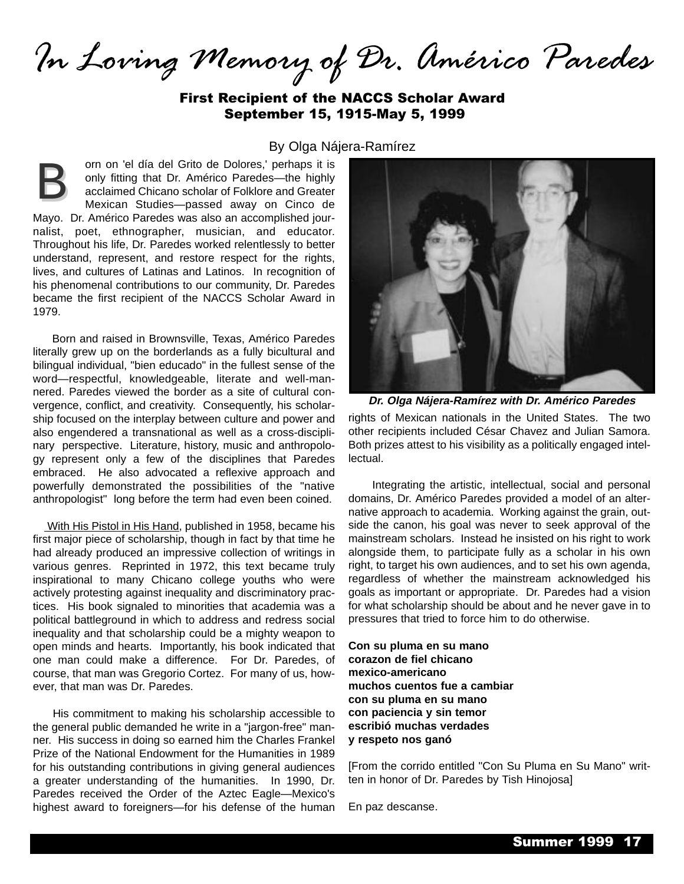In Loving Memory of Dr. Américo Paredes

First Recipient of the NACCS Scholar Award September 15, 1915-May 5, 1999

#### By Olga Nájera-Ramírez

orn on 'el día del Grito de Dolores,' perhaps it is only fitting that Dr. Américo Paredes—the highly acclaimed Chicano scholar of Folklore and Greater Mexican Studies—passed away on Cinco de Mayo. Dr. Américo Paredes was also an accomplished journalist, poet, ethnographer, musician, and educator. Throughout his life, Dr. Paredes worked relentlessly to better understand, represent, and restore respect for the rights, lives, and cultures of Latinas and Latinos. In recognition of his phenomenal contributions to our community, Dr. Paredes became the first recipient of the NACCS Scholar Award in 1979. B

Born and raised in Brownsville, Texas, Américo Paredes literally grew up on the borderlands as a fully bicultural and bilingual individual, "bien educado" in the fullest sense of the word—respectful, knowledgeable, literate and well-mannered. Paredes viewed the border as a site of cultural convergence, conflict, and creativity. Consequently, his scholarship focused on the interplay between culture and power and also engendered a transnational as well as a cross-disciplinary perspective. Literature, history, music and anthropology represent only a few of the disciplines that Paredes embraced. He also advocated a reflexive approach and powerfully demonstrated the possibilities of the "native anthropologist" long before the term had even been coined.

With His Pistol in His Hand, published in 1958, became his first major piece of scholarship, though in fact by that time he had already produced an impressive collection of writings in various genres. Reprinted in 1972, this text became truly inspirational to many Chicano college youths who were actively protesting against inequality and discriminatory practices. His book signaled to minorities that academia was a political battleground in which to address and redress social inequality and that scholarship could be a mighty weapon to open minds and hearts. Importantly, his book indicated that one man could make a difference. For Dr. Paredes, of course, that man was Gregorio Cortez. For many of us, however, that man was Dr. Paredes.

His commitment to making his scholarship accessible to the general public demanded he write in a "jargon-free" manner. His success in doing so earned him the Charles Frankel Prize of the National Endowment for the Humanities in 1989 for his outstanding contributions in giving general audiences a greater understanding of the humanities. In 1990, Dr. Paredes received the Order of the Aztec Eagle—Mexico's highest award to foreigners—for his defense of the human



rights of Mexican nationals in the United States. The two other recipients included César Chavez and Julian Samora. Both prizes attest to his visibility as a politically engaged intellectual.

Integrating the artistic, intellectual, social and personal domains, Dr. Américo Paredes provided a model of an alternative approach to academia. Working against the grain, outside the canon, his goal was never to seek approval of the mainstream scholars. Instead he insisted on his right to work alongside them, to participate fully as a scholar in his own right, to target his own audiences, and to set his own agenda, regardless of whether the mainstream acknowledged his goals as important or appropriate. Dr. Paredes had a vision for what scholarship should be about and he never gave in to pressures that tried to force him to do otherwise.

**Con su pluma en su mano corazon de fiel chicano mexico-americano muchos cuentos fue a cambiar con su pluma en su mano con paciencia y sin temor escribió muchas verdades y respeto nos ganó**

[From the corrido entitled "Con Su Pluma en Su Mano" written in honor of Dr. Paredes by Tish Hinojosa]

En paz descanse.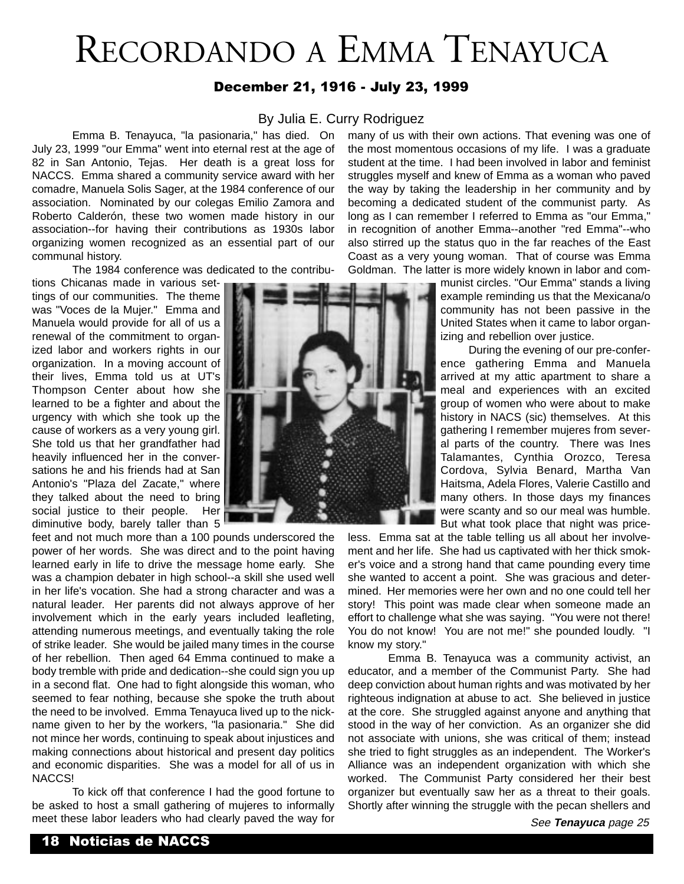## RECORDANDO A EMMA TENAYUCA

#### December 21, 1916 - July 23, 1999

#### By Julia E. Curry Rodriguez

Emma B. Tenayuca, "la pasionaria," has died. On July 23, 1999 "our Emma" went into eternal rest at the age of 82 in San Antonio, Tejas. Her death is a great loss for NACCS. Emma shared a community service award with her comadre, Manuela Solis Sager, at the 1984 conference of our association. Nominated by our colegas Emilio Zamora and Roberto Calderón, these two women made history in our association--for having their contributions as 1930s labor organizing women recognized as an essential part of our communal history.

The 1984 conference was dedicated to the contribu-

tions Chicanas made in various settings of our communities. The theme was "Voces de la Mujer." Emma and Manuela would provide for all of us a renewal of the commitment to organized labor and workers rights in our organization. In a moving account of their lives, Emma told us at UT's Thompson Center about how she learned to be a fighter and about the urgency with which she took up the cause of workers as a very young girl. She told us that her grandfather had heavily influenced her in the conversations he and his friends had at San Antonio's "Plaza del Zacate," where they talked about the need to bring social justice to their people. Her diminutive body, barely taller than 5

feet and not much more than a 100 pounds underscored the power of her words. She was direct and to the point having learned early in life to drive the message home early. She was a champion debater in high school--a skill she used well in her life's vocation. She had a strong character and was a natural leader. Her parents did not always approve of her involvement which in the early years included leafleting, attending numerous meetings, and eventually taking the role of strike leader. She would be jailed many times in the course of her rebellion. Then aged 64 Emma continued to make a body tremble with pride and dedication--she could sign you up in a second flat. One had to fight alongside this woman, who seemed to fear nothing, because she spoke the truth about the need to be involved. Emma Tenayuca lived up to the nickname given to her by the workers, "la pasionaria." She did not mince her words, continuing to speak about injustices and making connections about historical and present day politics and economic disparities. She was a model for all of us in NACCS!

To kick off that conference I had the good fortune to be asked to host a small gathering of mujeres to informally meet these labor leaders who had clearly paved the way for



many of us with their own actions. That evening was one of the most momentous occasions of my life. I was a graduate student at the time. I had been involved in labor and feminist struggles myself and knew of Emma as a woman who paved the way by taking the leadership in her community and by becoming a dedicated student of the communist party. As long as I can remember I referred to Emma as "our Emma," in recognition of another Emma--another "red Emma"--who also stirred up the status quo in the far reaches of the East Coast as a very young woman. That of course was Emma Goldman. The latter is more widely known in labor and com-

> munist circles. "Our Emma" stands a living example reminding us that the Mexicana/o community has not been passive in the United States when it came to labor organizing and rebellion over justice.

> During the evening of our pre-conference gathering Emma and Manuela arrived at my attic apartment to share a meal and experiences with an excited group of women who were about to make history in NACS (sic) themselves. At this gathering I remember mujeres from several parts of the country. There was Ines Talamantes, Cynthia Orozco, Teresa Cordova, Sylvia Benard, Martha Van Haitsma, Adela Flores, Valerie Castillo and many others. In those days my finances were scanty and so our meal was humble. But what took place that night was price-

less. Emma sat at the table telling us all about her involvement and her life. She had us captivated with her thick smoker's voice and a strong hand that came pounding every time she wanted to accent a point. She was gracious and determined. Her memories were her own and no one could tell her story! This point was made clear when someone made an effort to challenge what she was saying. "You were not there! You do not know! You are not me!" she pounded loudly. "I know my story."

Emma B. Tenayuca was a community activist, an educator, and a member of the Communist Party. She had deep conviction about human rights and was motivated by her righteous indignation at abuse to act. She believed in justice at the core. She struggled against anyone and anything that stood in the way of her conviction. As an organizer she did not associate with unions, she was critical of them; instead she tried to fight struggles as an independent. The Worker's Alliance was an independent organization with which she worked. The Communist Party considered her their best organizer but eventually saw her as a threat to their goals. Shortly after winning the struggle with the pecan shellers and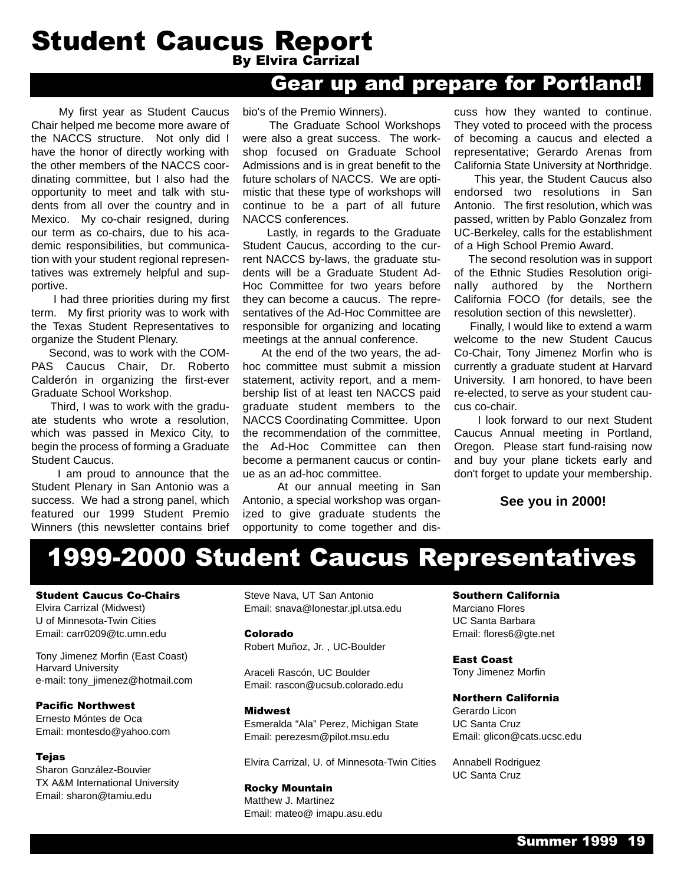## **Student Caucus Report**<br>By Elvira Carrizal

## Gear up and prepare for Portland!

My first year as Student Caucus Chair helped me become more aware of the NACCS structure. Not only did I have the honor of directly working with the other members of the NACCS coordinating committee, but I also had the opportunity to meet and talk with students from all over the country and in Mexico. My co-chair resigned, during our term as co-chairs, due to his academic responsibilities, but communication with your student regional representatives was extremely helpful and supportive.

I had three priorities during my first term. My first priority was to work with the Texas Student Representatives to organize the Student Plenary.

Second, was to work with the COM-PAS Caucus Chair, Dr. Roberto Calderón in organizing the first-ever Graduate School Workshop.

Third, I was to work with the graduate students who wrote a resolution, which was passed in Mexico City, to begin the process of forming a Graduate Student Caucus.

I am proud to announce that the Student Plenary in San Antonio was a success. We had a strong panel, which featured our 1999 Student Premio Winners (this newsletter contains brief bio's of the Premio Winners).

The Graduate School Workshops were also a great success. The workshop focused on Graduate School Admissions and is in great benefit to the future scholars of NACCS. We are optimistic that these type of workshops will continue to be a part of all future NACCS conferences.

Lastly, in regards to the Graduate Student Caucus, according to the current NACCS by-laws, the graduate students will be a Graduate Student Ad-Hoc Committee for two years before they can become a caucus. The representatives of the Ad-Hoc Committee are responsible for organizing and locating meetings at the annual conference.

At the end of the two years, the adhoc committee must submit a mission statement, activity report, and a membership list of at least ten NACCS paid graduate student members to the NACCS Coordinating Committee. Upon the recommendation of the committee, the Ad-Hoc Committee can then become a permanent caucus or continue as an ad-hoc committee.

At our annual meeting in San Antonio, a special workshop was organized to give graduate students the opportunity to come together and dis-

cuss how they wanted to continue. They voted to proceed with the process of becoming a caucus and elected a representative; Gerardo Arenas from California State University at Northridge.

This year, the Student Caucus also endorsed two resolutions in San Antonio. The first resolution, which was passed, written by Pablo Gonzalez from UC-Berkeley, calls for the establishment of a High School Premio Award.

The second resolution was in support of the Ethnic Studies Resolution originally authored by the Northern California FOCO (for details, see the resolution section of this newsletter).

Finally, I would like to extend a warm welcome to the new Student Caucus Co-Chair, Tony Jimenez Morfin who is currently a graduate student at Harvard University. I am honored, to have been re-elected, to serve as your student caucus co-chair.

I look forward to our next Student Caucus Annual meeting in Portland, Oregon. Please start fund-raising now and buy your plane tickets early and don't forget to update your membership.

#### **See you in 2000!**

## 1999-2000 Student Caucus Representatives

#### Student Caucus Co-Chairs

Elvira Carrizal (Midwest) U of Minnesota-Twin Cities Email: carr0209@tc.umn.edu

Tony Jimenez Morfin (East Coast) Harvard University e-mail: tony\_jimenez@hotmail.com

Pacific Northwest

Ernesto Móntes de Oca Email: montesdo@yahoo.com

#### **Tejas**

Sharon González-Bouvier TX A&M International University Email: sharon@tamiu.edu

Steve Nava, UT San Antonio Email: snava@lonestar.jpl.utsa.edu

Colorado Robert Muñoz, Jr. , UC-Boulder

Araceli Rascón, UC Boulder Email: rascon@ucsub.colorado.edu

#### Midwest

Esmeralda "Ala" Perez, Michigan State Email: perezesm@pilot.msu.edu

Elvira Carrizal, U. of Minnesota-Twin Cities

#### Rocky Mountain

Matthew J. Martinez Email: mateo@ imapu.asu.edu

#### Southern California

Marciano Flores UC Santa Barbara Email: flores6@gte.net

East Coast Tony Jimenez Morfin

#### Northern California

Gerardo Licon UC Santa Cruz Email: glicon@cats.ucsc.edu

Annabell Rodriguez UC Santa Cruz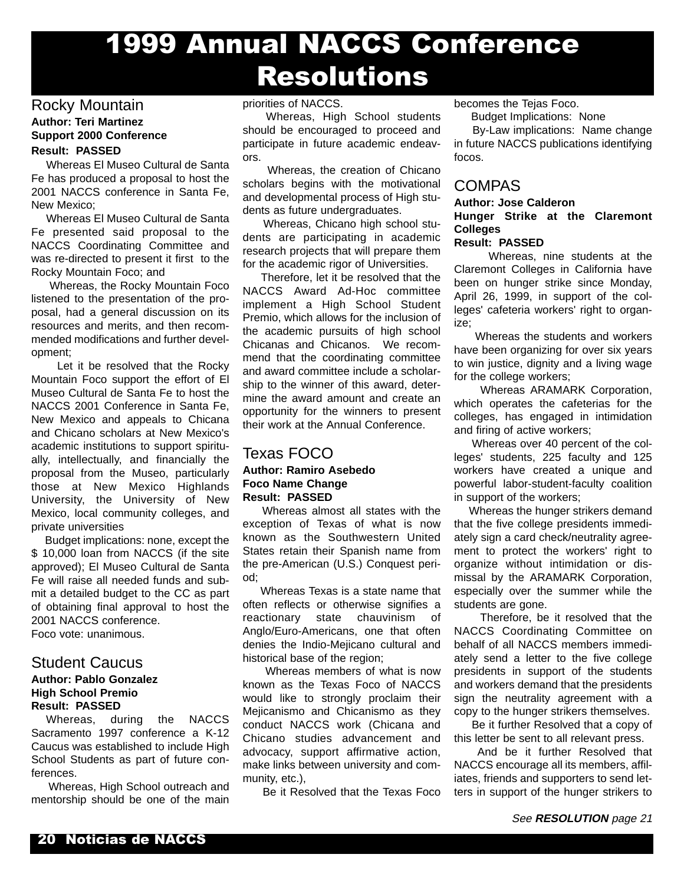## 1999 Annual NACCS Conference Resolutions

#### Rocky Mountain

#### **Author: Teri Martinez Support 2000 Conference Result: PASSED**

Whereas El Museo Cultural de Santa Fe has produced a proposal to host the 2001 NACCS conference in Santa Fe, New Mexico;

Whereas El Museo Cultural de Santa Fe presented said proposal to the NACCS Coordinating Committee and was re-directed to present it first to the Rocky Mountain Foco; and

Whereas, the Rocky Mountain Foco listened to the presentation of the proposal, had a general discussion on its resources and merits, and then recommended modifications and further development;

Let it be resolved that the Rocky Mountain Foco support the effort of El Museo Cultural de Santa Fe to host the NACCS 2001 Conference in Santa Fe, New Mexico and appeals to Chicana and Chicano scholars at New Mexico's academic institutions to support spiritually, intellectually, and financially the proposal from the Museo, particularly those at New Mexico Highlands University, the University of New Mexico, local community colleges, and private universities

Budget implications: none, except the \$ 10,000 loan from NACCS (if the site approved); El Museo Cultural de Santa Fe will raise all needed funds and submit a detailed budget to the CC as part of obtaining final approval to host the 2001 NACCS conference. Foco vote: unanimous.

### Student Caucus

#### **Author: Pablo Gonzalez High School Premio Result: PASSED**

Whereas, during the NACCS Sacramento 1997 conference a K-12 Caucus was established to include High School Students as part of future conferences.

Whereas, High School outreach and mentorship should be one of the main

#### priorities of NACCS.

Whereas, High School students should be encouraged to proceed and participate in future academic endeavors.

Whereas, the creation of Chicano scholars begins with the motivational and developmental process of High students as future undergraduates.

Whereas, Chicano high school students are participating in academic research projects that will prepare them for the academic rigor of Universities.

Therefore, let it be resolved that the NACCS Award Ad-Hoc committee implement a High School Student Premio, which allows for the inclusion of the academic pursuits of high school Chicanas and Chicanos. We recommend that the coordinating committee and award committee include a scholarship to the winner of this award, determine the award amount and create an opportunity for the winners to present their work at the Annual Conference.

#### Texas FOCO **Author: Ramiro Asebedo Foco Name Change Result: PASSED**

Whereas almost all states with the exception of Texas of what is now known as the Southwestern United States retain their Spanish name from the pre-American (U.S.) Conquest period;

Whereas Texas is a state name that often reflects or otherwise signifies a reactionary state chauvinism of Anglo/Euro-Americans, one that often denies the Indio-Mejicano cultural and historical base of the region;

Whereas members of what is now known as the Texas Foco of NACCS would like to strongly proclaim their Mejicanismo and Chicanismo as they conduct NACCS work (Chicana and Chicano studies advancement and advocacy, support affirmative action, make links between university and community, etc.),

Be it Resolved that the Texas Foco

becomes the Tejas Foco.

Budget Implications: None

By-Law implications: Name change in future NACCS publications identifying focos.

#### COMPAS

#### **Author: Jose Calderon Hunger Strike at the Claremont Colleges**

**Result: PASSED**

Whereas, nine students at the Claremont Colleges in California have been on hunger strike since Monday, April 26, 1999, in support of the colleges' cafeteria workers' right to organize;

Whereas the students and workers have been organizing for over six years to win justice, dignity and a living wage for the college workers;

Whereas ARAMARK Corporation, which operates the cafeterias for the colleges, has engaged in intimidation and firing of active workers;

Whereas over 40 percent of the colleges' students, 225 faculty and 125 workers have created a unique and powerful labor-student-faculty coalition in support of the workers;

Whereas the hunger strikers demand that the five college presidents immediately sign a card check/neutrality agreement to protect the workers' right to organize without intimidation or dismissal by the ARAMARK Corporation, especially over the summer while the students are gone.

Therefore, be it resolved that the NACCS Coordinating Committee on behalf of all NACCS members immediately send a letter to the five college presidents in support of the students and workers demand that the presidents sign the neutrality agreement with a copy to the hunger strikers themselves.

Be it further Resolved that a copy of this letter be sent to all relevant press.

And be it further Resolved that NACCS encourage all its members, affiliates, friends and supporters to send letters in support of the hunger strikers to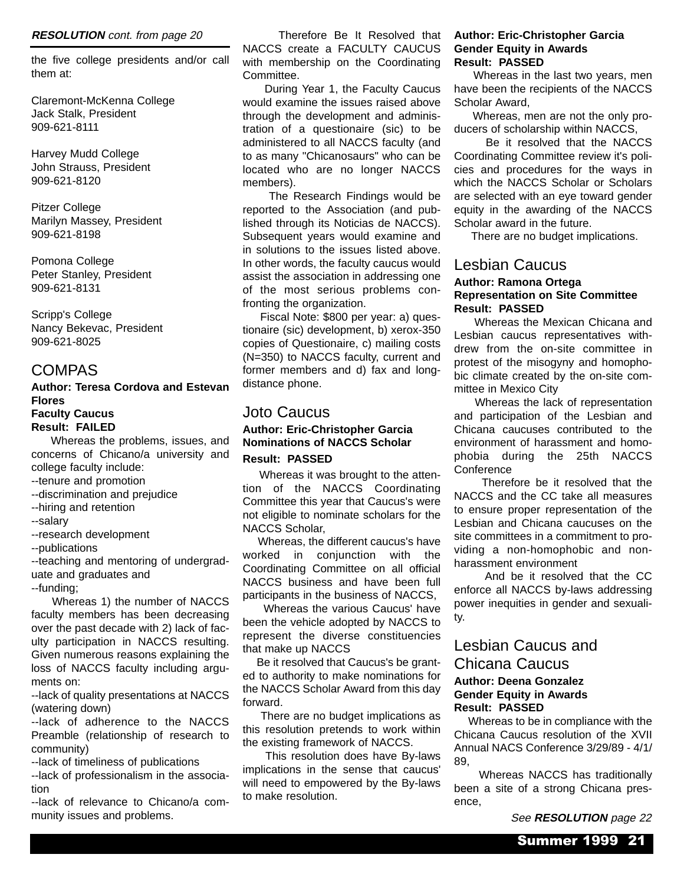#### **RESOLUTION** cont. from page 20

the five college presidents and/or call them at:

Claremont-McKenna College Jack Stalk, President 909-621-8111

Harvey Mudd College John Strauss, President 909-621-8120

Pitzer College Marilyn Massey, President 909-621-8198

Pomona College Peter Stanley, President 909-621-8131

Scripp's College Nancy Bekevac, President 909-621-8025

#### COMPAS

#### **Author: Teresa Cordova and Estevan Flores Faculty Caucus**

**Result: FAILED** Whereas the problems, issues, and

concerns of Chicano/a university and college faculty include:

--tenure and promotion

--discrimination and prejudice

- --hiring and retention
- --salary

--research development

--publications

--teaching and mentoring of undergraduate and graduates and --funding;

Whereas 1) the number of NACCS faculty members has been decreasing over the past decade with 2) lack of faculty participation in NACCS resulting. Given numerous reasons explaining the loss of NACCS faculty including arguments on:

--lack of quality presentations at NACCS (watering down)

--lack of adherence to the NACCS Preamble (relationship of research to community)

--lack of timeliness of publications

--lack of professionalism in the association

--lack of relevance to Chicano/a community issues and problems.

Therefore Be It Resolved that NACCS create a FACULTY CAUCUS with membership on the Coordinating Committee.

During Year 1, the Faculty Caucus would examine the issues raised above through the development and administration of a questionaire (sic) to be administered to all NACCS faculty (and to as many "Chicanosaurs" who can be located who are no longer NACCS members).

The Research Findings would be reported to the Association (and published through its Noticias de NACCS). Subsequent years would examine and in solutions to the issues listed above. In other words, the faculty caucus would assist the association in addressing one of the most serious problems confronting the organization.

Fiscal Note: \$800 per year: a) questionaire (sic) development, b) xerox-350 copies of Questionaire, c) mailing costs (N=350) to NACCS faculty, current and former members and d) fax and longdistance phone.

#### Joto Caucus

#### **Author: Eric-Christopher Garcia Nominations of NACCS Scholar Result: PASSED**

Whereas it was brought to the attention of the NACCS Coordinating Committee this year that Caucus's were not eligible to nominate scholars for the NACCS Scholar,

Whereas, the different caucus's have worked in conjunction with the Coordinating Committee on all official NACCS business and have been full participants in the business of NACCS,

Whereas the various Caucus' have been the vehicle adopted by NACCS to represent the diverse constituencies that make up NACCS

Be it resolved that Caucus's be granted to authority to make nominations for the NACCS Scholar Award from this day forward.

There are no budget implications as this resolution pretends to work within the existing framework of NACCS.

This resolution does have By-laws implications in the sense that caucus' will need to empowered by the By-laws to make resolution.

#### **Author: Eric-Christopher Garcia Gender Equity in Awards Result: PASSED**

Whereas in the last two years, men have been the recipients of the NACCS Scholar Award,

Whereas, men are not the only producers of scholarship within NACCS,

Be it resolved that the NACCS Coordinating Committee review it's policies and procedures for the ways in which the NACCS Scholar or Scholars are selected with an eye toward gender equity in the awarding of the NACCS Scholar award in the future.

There are no budget implications.

#### Lesbian Caucus

#### **Author: Ramona Ortega Representation on Site Committee Result: PASSED**

Whereas the Mexican Chicana and Lesbian caucus representatives withdrew from the on-site committee in protest of the misogyny and homophobic climate created by the on-site committee in Mexico City

Whereas the lack of representation and participation of the Lesbian and Chicana caucuses contributed to the environment of harassment and homophobia during the 25th NACCS **Conference** 

Therefore be it resolved that the NACCS and the CC take all measures to ensure proper representation of the Lesbian and Chicana caucuses on the site committees in a commitment to providing a non-homophobic and nonharassment environment

And be it resolved that the CC enforce all NACCS by-laws addressing power inequities in gender and sexuality.

#### Lesbian Caucus and

#### Chicana Caucus **Author: Deena Gonzalez Gender Equity in Awards Result: PASSED**

Whereas to be in compliance with the Chicana Caucus resolution of the XVII Annual NACS Conference 3/29/89 - 4/1/ 89,

Whereas NACCS has traditionally been a site of a strong Chicana presence,

See **RESOLUTION** page 22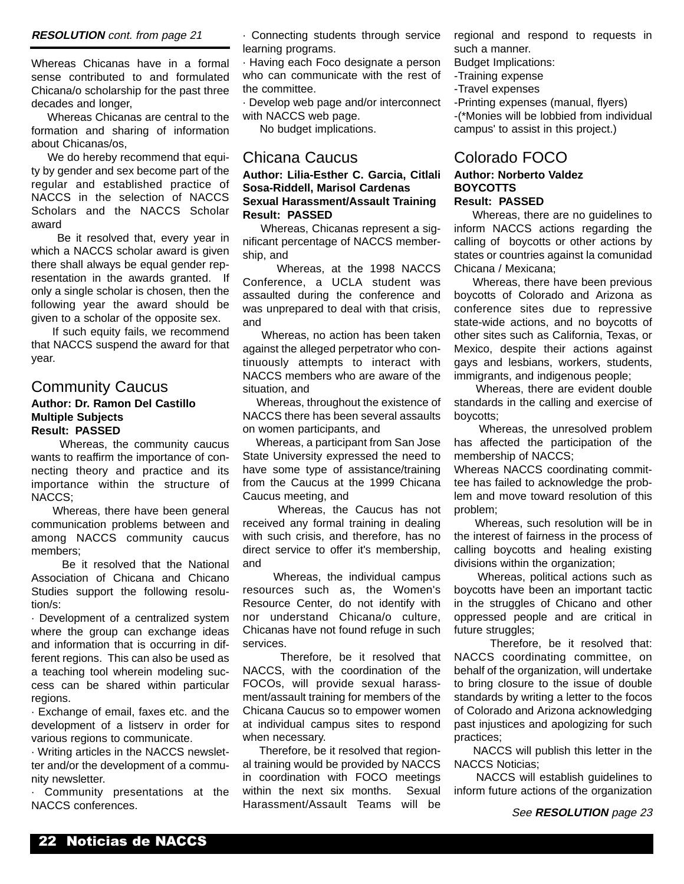#### **RESOLUTION** cont. from page 21

Whereas Chicanas have in a formal sense contributed to and formulated Chicana/o scholarship for the past three decades and longer,

Whereas Chicanas are central to the formation and sharing of information about Chicanas/os,

We do hereby recommend that equity by gender and sex become part of the regular and established practice of NACCS in the selection of NACCS Scholars and the NACCS Scholar award

Be it resolved that, every year in which a NACCS scholar award is given there shall always be equal gender representation in the awards granted. If only a single scholar is chosen, then the following year the award should be given to a scholar of the opposite sex.

If such equity fails, we recommend that NACCS suspend the award for that year.

#### Community Caucus

#### **Author: Dr. Ramon Del Castillo Multiple Subjects Result: PASSED**

Whereas, the community caucus wants to reaffirm the importance of connecting theory and practice and its importance within the structure of NACCS;

Whereas, there have been general communication problems between and among NACCS community caucus members;

Be it resolved that the National Association of Chicana and Chicano Studies support the following resolution/s:

· Development of a centralized system where the group can exchange ideas and information that is occurring in different regions. This can also be used as a teaching tool wherein modeling success can be shared within particular regions.

· Exchange of email, faxes etc. and the development of a listserv in order for various regions to communicate.

· Writing articles in the NACCS newsletter and/or the development of a community newsletter.

· Community presentations at the NACCS conferences.

· Connecting students through service learning programs.

· Having each Foco designate a person who can communicate with the rest of the committee.

· Develop web page and/or interconnect with NACCS web page.

No budget implications.

#### Chicana Caucus

#### **Author: Lilia-Esther C. Garcia, Citlali Sosa-Riddell, Marisol Cardenas Sexual Harassment/Assault Training Result: PASSED**

Whereas, Chicanas represent a significant percentage of NACCS membership, and

Whereas, at the 1998 NACCS Conference, a UCLA student was assaulted during the conference and was unprepared to deal with that crisis, and

Whereas, no action has been taken against the alleged perpetrator who continuously attempts to interact with NACCS members who are aware of the situation, and

Whereas, throughout the existence of NACCS there has been several assaults on women participants, and

Whereas, a participant from San Jose State University expressed the need to have some type of assistance/training from the Caucus at the 1999 Chicana Caucus meeting, and

Whereas, the Caucus has not received any formal training in dealing with such crisis, and therefore, has no direct service to offer it's membership, and

Whereas, the individual campus resources such as, the Women's Resource Center, do not identify with nor understand Chicana/o culture, Chicanas have not found refuge in such services.

Therefore, be it resolved that NACCS, with the coordination of the FOCOs, will provide sexual harassment/assault training for members of the Chicana Caucus so to empower women at individual campus sites to respond when necessary.

Therefore, be it resolved that regional training would be provided by NACCS in coordination with FOCO meetings within the next six months. Sexual Harassment/Assault Teams will be

regional and respond to requests in such a manner.

Budget Implications:

-Training expense

-Travel expenses

-Printing expenses (manual, flyers) -(\*Monies will be lobbied from individual campus' to assist in this project.)

#### Colorado FOCO **Author: Norberto Valdez BOYCOTTS**

#### **Result: PASSED**

Whereas, there are no guidelines to inform NACCS actions regarding the calling of boycotts or other actions by states or countries against la comunidad Chicana / Mexicana;

Whereas, there have been previous boycotts of Colorado and Arizona as conference sites due to repressive state-wide actions, and no boycotts of other sites such as California, Texas, or Mexico, despite their actions against gays and lesbians, workers, students, immigrants, and indigenous people;

Whereas, there are evident double standards in the calling and exercise of boycotts;

Whereas, the unresolved problem has affected the participation of the membership of NACCS;

Whereas NACCS coordinating committee has failed to acknowledge the problem and move toward resolution of this problem;

Whereas, such resolution will be in the interest of fairness in the process of calling boycotts and healing existing divisions within the organization;

Whereas, political actions such as boycotts have been an important tactic in the struggles of Chicano and other oppressed people and are critical in future struggles;

Therefore, be it resolved that: NACCS coordinating committee, on behalf of the organization, will undertake to bring closure to the issue of double standards by writing a letter to the focos of Colorado and Arizona acknowledging past injustices and apologizing for such practices;

NACCS will publish this letter in the NACCS Noticias;

NACCS will establish guidelines to inform future actions of the organization

See **RESOLUTION** page 23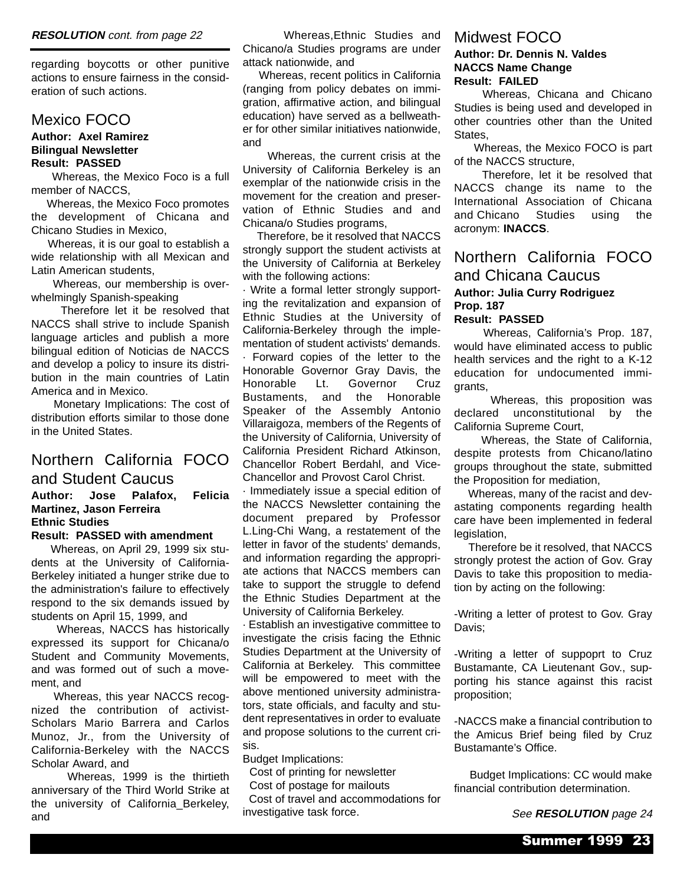regarding boycotts or other punitive actions to ensure fairness in the consideration of such actions.

#### Mexico FOCO

#### **Author: Axel Ramirez Bilingual Newsletter Result: PASSED**

Whereas, the Mexico Foco is a full member of NACCS,

Whereas, the Mexico Foco promotes the development of Chicana and Chicano Studies in Mexico,

Whereas, it is our goal to establish a wide relationship with all Mexican and Latin American students,

Whereas, our membership is overwhelmingly Spanish-speaking

Therefore let it be resolved that NACCS shall strive to include Spanish language articles and publish a more bilingual edition of Noticias de NACCS and develop a policy to insure its distribution in the main countries of Latin America and in Mexico.

Monetary Implications: The cost of distribution efforts similar to those done in the United States.

#### Northern California FOCO and Student Caucus

#### **Author: Jose Palafox, Felicia Martinez, Jason Ferreira Ethnic Studies**

#### **Result: PASSED with amendment**

Whereas, on April 29, 1999 six students at the University of California-Berkeley initiated a hunger strike due to the administration's failure to effectively respond to the six demands issued by students on April 15, 1999, and

Whereas, NACCS has historically expressed its support for Chicana/o Student and Community Movements, and was formed out of such a movement, and

Whereas, this year NACCS recognized the contribution of activist-Scholars Mario Barrera and Carlos Munoz, Jr., from the University of California-Berkeley with the NACCS Scholar Award, and

Whereas, 1999 is the thirtieth anniversary of the Third World Strike at the university of California\_Berkeley, and

Whereas,Ethnic Studies and Chicano/a Studies programs are under attack nationwide, and

Whereas, recent politics in California (ranging from policy debates on immigration, affirmative action, and bilingual education) have served as a bellweather for other similar initiatives nationwide, and

Whereas, the current crisis at the University of California Berkeley is an exemplar of the nationwide crisis in the movement for the creation and preservation of Ethnic Studies and and Chicana/o Studies programs,

Therefore, be it resolved that NACCS strongly support the student activists at the University of California at Berkeley with the following actions:

· Write a formal letter strongly supporting the revitalization and expansion of Ethnic Studies at the University of California-Berkeley through the implementation of student activists' demands. · Forward copies of the letter to the Honorable Governor Gray Davis, the Honorable Lt. Governor Cruz Bustaments, and the Honorable Speaker of the Assembly Antonio Villaraigoza, members of the Regents of the University of California, University of California President Richard Atkinson, Chancellor Robert Berdahl, and Vice-Chancellor and Provost Carol Christ.

· Immediately issue a special edition of the NACCS Newsletter containing the document prepared by Professor L.Ling-Chi Wang, a restatement of the letter in favor of the students' demands, and information regarding the appropriate actions that NACCS members can take to support the struggle to defend the Ethnic Studies Department at the University of California Berkeley.

· Establish an investigative committee to investigate the crisis facing the Ethnic Studies Department at the University of California at Berkeley. This committee will be empowered to meet with the above mentioned university administrators, state officials, and faculty and student representatives in order to evaluate and propose solutions to the current crisis.

Budget Implications:

Cost of printing for newsletter

Cost of postage for mailouts

Cost of travel and accommodations for investigative task force.

#### Midwest FOCO **Author: Dr. Dennis N. Valdes NACCS Name Change Result: FAILED**

Whereas, Chicana and Chicano Studies is being used and developed in other countries other than the United **States** 

Whereas, the Mexico FOCO is part of the NACCS structure,

Therefore, let it be resolved that NACCS change its name to the International Association of Chicana and Chicano Studies using the acronym: **INACCS**.

#### Northern California FOCO and Chicana Caucus **Author: Julia Curry Rodriguez Prop. 187**

#### **Result: PASSED**

Whereas, California's Prop. 187, would have eliminated access to public health services and the right to a K-12 education for undocumented immigrants,

Whereas, this proposition was declared unconstitutional by the California Supreme Court,

Whereas, the State of California, despite protests from Chicano/latino groups throughout the state, submitted the Proposition for mediation,

Whereas, many of the racist and devastating components regarding health care have been implemented in federal legislation.

Therefore be it resolved, that NACCS strongly protest the action of Gov. Gray Davis to take this proposition to mediation by acting on the following:

-Writing a letter of protest to Gov. Gray Davis;

-Writing a letter of suppoprt to Cruz Bustamante, CA Lieutenant Gov., supporting his stance against this racist proposition;

-NACCS make a financial contribution to the Amicus Brief being filed by Cruz Bustamante's Office.

Budget Implications: CC would make financial contribution determination.

See **RESOLUTION** page 24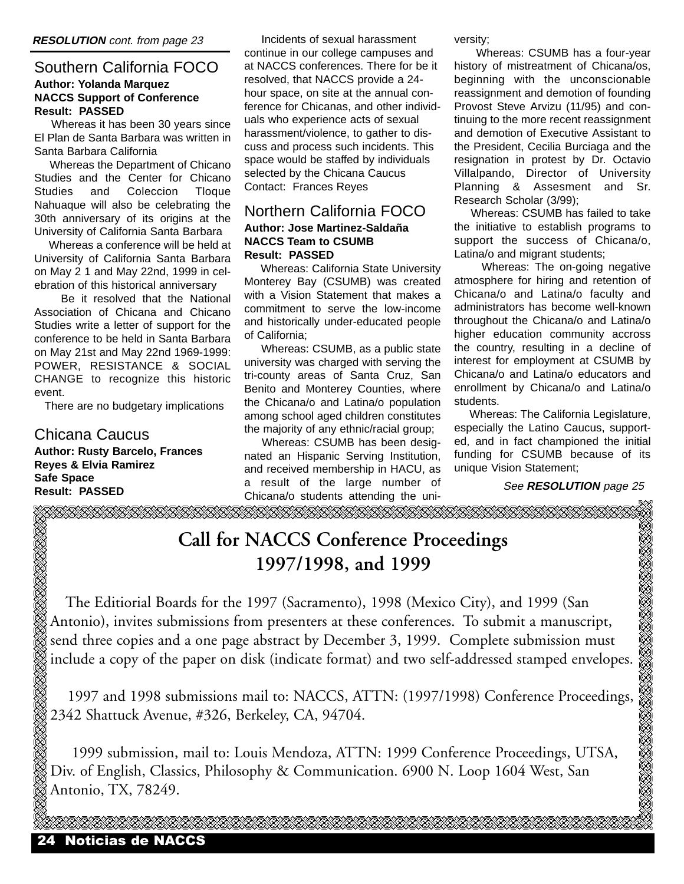#### Southern California FOCO **Author: Yolanda Marquez NACCS Support of Conference Result: PASSED**

Whereas it has been 30 years since El Plan de Santa Barbara was written in Santa Barbara California

Whereas the Department of Chicano Studies and the Center for Chicano Studies and Coleccion Tloque Nahuaque will also be celebrating the 30th anniversary of its origins at the University of California Santa Barbara

Whereas a conference will be held at University of California Santa Barbara on May 2 1 and May 22nd, 1999 in celebration of this historical anniversary

Be it resolved that the National Association of Chicana and Chicano Studies write a letter of support for the conference to be held in Santa Barbara on May 21st and May 22nd 1969-1999: POWER, RESISTANCE & SOCIAL CHANGE to recognize this historic event.

There are no budgetary implications

#### Chicana Caucus

**Author: Rusty Barcelo, Frances Reyes & Elvia Ramirez Safe Space Result: PASSED**

Incidents of sexual harassment continue in our college campuses and at NACCS conferences. There for be it resolved, that NACCS provide a 24 hour space, on site at the annual conference for Chicanas, and other individuals who experience acts of sexual harassment/violence, to gather to discuss and process such incidents. This space would be staffed by individuals selected by the Chicana Caucus Contact: Frances Reyes

#### Northern California FOCO **Author: Jose Martinez-Saldaña NACCS Team to CSUMB Result: PASSED**

Whereas: California State University Monterey Bay (CSUMB) was created with a Vision Statement that makes a commitment to serve the low-income and historically under-educated people of California;

Whereas: CSUMB, as a public state university was charged with serving the tri-county areas of Santa Cruz, San Benito and Monterey Counties, where the Chicana/o and Latina/o population among school aged children constitutes the majority of any ethnic/racial group;

Whereas: CSUMB has been designated an Hispanic Serving Institution, and received membership in HACU, as a result of the large number of Chicana/o students attending the university;

Whereas: CSUMB has a four-year history of mistreatment of Chicana/os, beginning with the unconscionable reassignment and demotion of founding Provost Steve Arvizu (11/95) and continuing to the more recent reassignment and demotion of Executive Assistant to the President, Cecilia Burciaga and the resignation in protest by Dr. Octavio Villalpando, Director of University Planning & Assesment and Sr. Research Scholar (3/99);

Whereas: CSUMB has failed to take the initiative to establish programs to support the success of Chicana/o, Latina/o and migrant students;

Whereas: The on-going negative atmosphere for hiring and retention of Chicana/o and Latina/o faculty and administrators has become well-known throughout the Chicana/o and Latina/o higher education community accross the country, resulting in a decline of interest for employment at CSUMB by Chicana/o and Latina/o educators and enrollment by Chicana/o and Latina/o students.

Whereas: The California Legislature, especially the Latino Caucus, supported, and in fact championed the initial funding for CSUMB because of its unique Vision Statement;

See **RESOLUTION** page 25

**Call for NACCS Conference Proceedings 1997/1998, and 1999**

The Editiorial Boards for the 1997 (Sacramento), 1998 (Mexico City), and 1999 (San Antonio), invites submissions from presenters at these conferences. To submit a manuscript, send three copies and a one page abstract by December 3, 1999. Complete submission must include a copy of the paper on disk (indicate format) and two self-addressed stamped envelopes.

1997 and 1998 submissions mail to: NACCS, ATTN: (1997/1998) Conference Proceedings, 2342 Shattuck Avenue, #326, Berkeley, CA, 94704.

1999 submission, mail to: Louis Mendoza, ATTN: 1999 Conference Proceedings, UTSA, Div. of English, Classics, Philosophy & Communication. 6900 N. Loop 1604 West, San Antonio, TX, 78249.

OS STRITTI STRITTI STRITTI STRITTI STRITTI STRITTI ST

24 Noticias de NACCS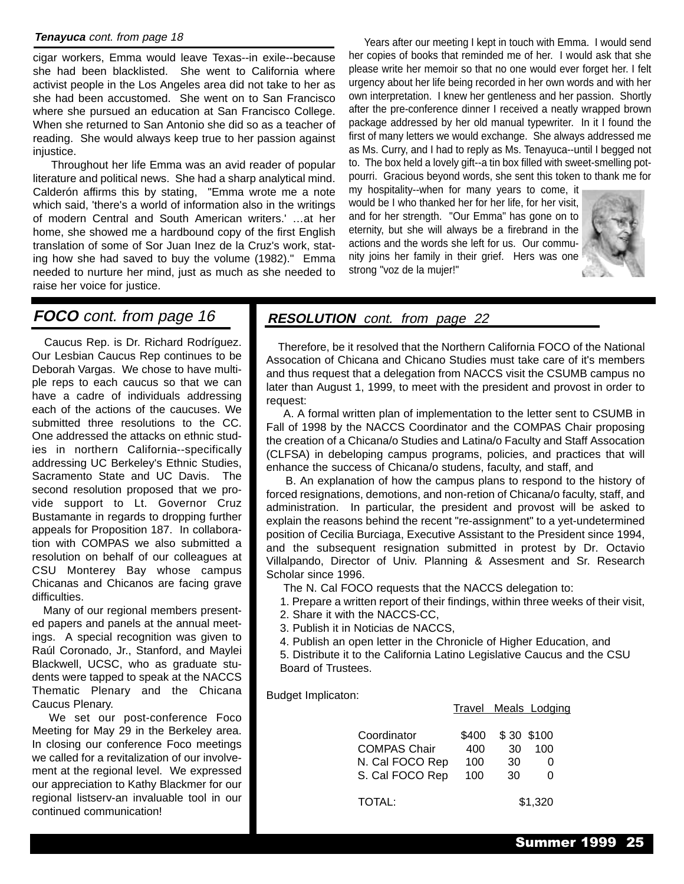#### **Tenayuca** cont. from page 18

cigar workers, Emma would leave Texas--in exile--because she had been blacklisted. She went to California where activist people in the Los Angeles area did not take to her as she had been accustomed. She went on to San Francisco where she pursued an education at San Francisco College. When she returned to San Antonio she did so as a teacher of reading. She would always keep true to her passion against injustice.

Throughout her life Emma was an avid reader of popular literature and political news. She had a sharp analytical mind. Calderón affirms this by stating, "Emma wrote me a note which said, 'there's a world of information also in the writings of modern Central and South American writers.' …at her home, she showed me a hardbound copy of the first English translation of some of Sor Juan Inez de la Cruz's work, stating how she had saved to buy the volume (1982)." Emma needed to nurture her mind, just as much as she needed to raise her voice for justice.

Years after our meeting I kept in touch with Emma. I would send her copies of books that reminded me of her. I would ask that she please write her memoir so that no one would ever forget her. I felt urgency about her life being recorded in her own words and with her own interpretation. I knew her gentleness and her passion. Shortly after the pre-conference dinner I received a neatly wrapped brown package addressed by her old manual typewriter. In it I found the first of many letters we would exchange. She always addressed me as Ms. Curry, and I had to reply as Ms. Tenayuca--until I begged not to. The box held a lovely gift--a tin box filled with sweet-smelling potpourri. Gracious beyond words, she sent this token to thank me for

my hospitality--when for many years to come, it would be I who thanked her for her life, for her visit, and for her strength. "Our Emma" has gone on to eternity, but she will always be a firebrand in the actions and the words she left for us. Our community joins her family in their grief. Hers was one strong "voz de la mujer!"



#### **FOCO** cont. from page 16

Caucus Rep. is Dr. Richard Rodríguez. Our Lesbian Caucus Rep continues to be Deborah Vargas. We chose to have multiple reps to each caucus so that we can have a cadre of individuals addressing each of the actions of the caucuses. We submitted three resolutions to the CC. One addressed the attacks on ethnic studies in northern California--specifically addressing UC Berkeley's Ethnic Studies, Sacramento State and UC Davis. The second resolution proposed that we provide support to Lt. Governor Cruz Bustamante in regards to dropping further appeals for Proposition 187. In collaboration with COMPAS we also submitted a resolution on behalf of our colleagues at CSU Monterey Bay whose campus Chicanas and Chicanos are facing grave difficulties.

Many of our regional members presented papers and panels at the annual meetings. A special recognition was given to Raúl Coronado, Jr., Stanford, and Maylei Blackwell, UCSC, who as graduate students were tapped to speak at the NACCS Thematic Plenary and the Chicana Caucus Plenary.

We set our post-conference Foco Meeting for May 29 in the Berkeley area. In closing our conference Foco meetings we called for a revitalization of our involvement at the regional level. We expressed our appreciation to Kathy Blackmer for our regional listserv-an invaluable tool in our continued communication!

#### **RESOLUTION** cont. from page 22

Therefore, be it resolved that the Northern California FOCO of the National Assocation of Chicana and Chicano Studies must take care of it's members and thus request that a delegation from NACCS visit the CSUMB campus no later than August 1, 1999, to meet with the president and provost in order to request:

A. A formal written plan of implementation to the letter sent to CSUMB in Fall of 1998 by the NACCS Coordinator and the COMPAS Chair proposing the creation of a Chicana/o Studies and Latina/o Faculty and Staff Assocation (CLFSA) in debeloping campus programs, policies, and practices that will enhance the success of Chicana/o studens, faculty, and staff, and

B. An explanation of how the campus plans to respond to the history of forced resignations, demotions, and non-retion of Chicana/o faculty, staff, and administration. In particular, the president and provost will be asked to explain the reasons behind the recent "re-assignment" to a yet-undetermined position of Cecilia Burciaga, Executive Assistant to the President since 1994, and the subsequent resignation submitted in protest by Dr. Octavio Villalpando, Director of Univ. Planning & Assesment and Sr. Research Scholar since 1996.

The N. Cal FOCO requests that the NACCS delegation to:

1. Prepare a written report of their findings, within three weeks of their visit,

- 2. Share it with the NACCS-CC,
- 3. Publish it in Noticias de NACCS,
- 4. Publish an open letter in the Chronicle of Higher Education, and

5. Distribute it to the California Latino Legislative Caucus and the CSU Board of Trustees.

Budget Implicaton:

|                                                       |                     |                        | Travel Meals Lodging |
|-------------------------------------------------------|---------------------|------------------------|----------------------|
| Coordinator<br><b>COMPAS Chair</b><br>N. Cal FOCO Rep | \$400<br>400<br>100 | \$30 \$100<br>30<br>30 | 100<br>O<br>ŋ        |
| S. Cal FOCO Rep                                       | 100                 | 30                     |                      |
| TOTAL:                                                |                     |                        | \$1,320              |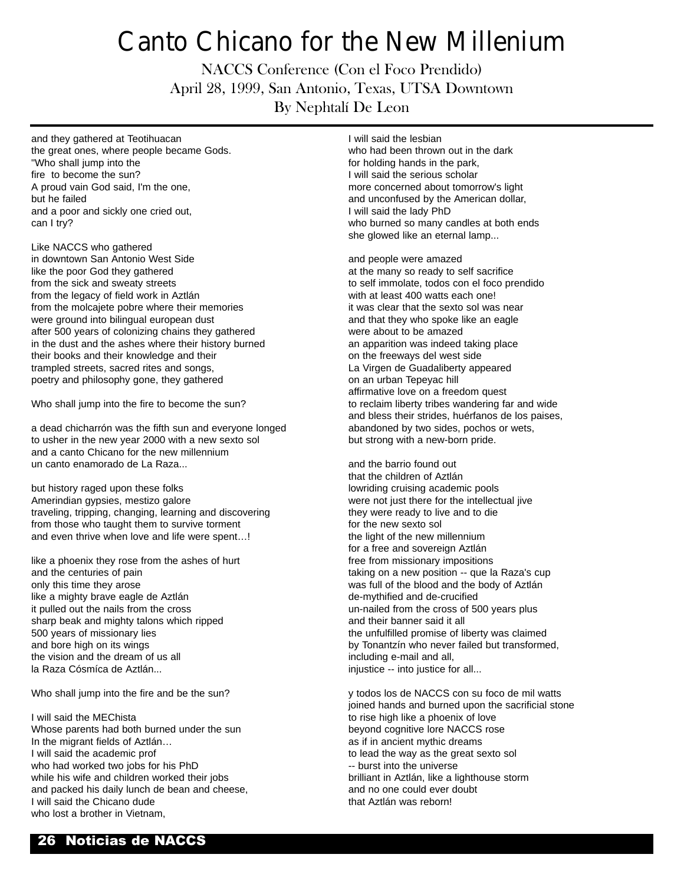## Canto Chicano for the New Millenium

NACCS Conference (Con el Foco Prendido) April 28, 1999, San Antonio, Texas, UTSA Downtown By Nephtalí De Leon

and they gathered at Teotihuacan the great ones, where people became Gods. "Who shall jump into the fire to become the sun? A proud vain God said, I'm the one, but he failed and a poor and sickly one cried out, can I try?

Like NACCS who gathered in downtown San Antonio West Side like the poor God they gathered from the sick and sweaty streets from the legacy of field work in Aztlán from the molcajete pobre where their memories were ground into bilingual european dust after 500 years of colonizing chains they gathered in the dust and the ashes where their history burned their books and their knowledge and their trampled streets, sacred rites and songs, poetry and philosophy gone, they gathered

Who shall jump into the fire to become the sun?

a dead chicharrón was the fifth sun and everyone longed to usher in the new year 2000 with a new sexto sol and a canto Chicano for the new millennium un canto enamorado de La Raza...

but history raged upon these folks Amerindian gypsies, mestizo galore traveling, tripping, changing, learning and discovering from those who taught them to survive torment and even thrive when love and life were spent…!

like a phoenix they rose from the ashes of hurt and the centuries of pain only this time they arose like a mighty brave eagle de Aztlán it pulled out the nails from the cross sharp beak and mighty talons which ripped 500 years of missionary lies and bore high on its wings the vision and the dream of us all la Raza Cósmíca de Aztlán...

Who shall jump into the fire and be the sun?

I will said the MEChista Whose parents had both burned under the sun In the migrant fields of Aztlán… I will said the academic prof who had worked two jobs for his PhD while his wife and children worked their jobs and packed his daily lunch de bean and cheese, I will said the Chicano dude who lost a brother in Vietnam.

I will said the lesbian who had been thrown out in the dark for holding hands in the park, I will said the serious scholar more concerned about tomorrow's light and unconfused by the American dollar, I will said the lady PhD who burned so many candles at both ends she glowed like an eternal lamp...

and people were amazed at the many so ready to self sacrifice to self immolate, todos con el foco prendido with at least 400 watts each one! it was clear that the sexto sol was near and that they who spoke like an eagle were about to be amazed an apparition was indeed taking place on the freeways del west side La Virgen de Guadaliberty appeared on an urban Tepeyac hill affirmative love on a freedom quest to reclaim liberty tribes wandering far and wide and bless their strides, huérfanos de los paises, abandoned by two sides, pochos or wets, but strong with a new-born pride.

and the barrio found out that the children of Aztlán lowriding cruising academic pools were not just there for the intellectual jive they were ready to live and to die for the new sexto sol the light of the new millennium for a free and sovereign Aztlán free from missionary impositions taking on a new position -- que la Raza's cup was full of the blood and the body of Aztlán de-mythified and de-crucified un-nailed from the cross of 500 years plus and their banner said it all the unfulfilled promise of liberty was claimed by Tonantzín who never failed but transformed, including e-mail and all, injustice -- into justice for all...

y todos los de NACCS con su foco de mil watts joined hands and burned upon the sacrificial stone to rise high like a phoenix of love beyond cognitive lore NACCS rose as if in ancient mythic dreams to lead the way as the great sexto sol -- burst into the universe brilliant in Aztlán, like a lighthouse storm and no one could ever doubt that Aztlán was reborn!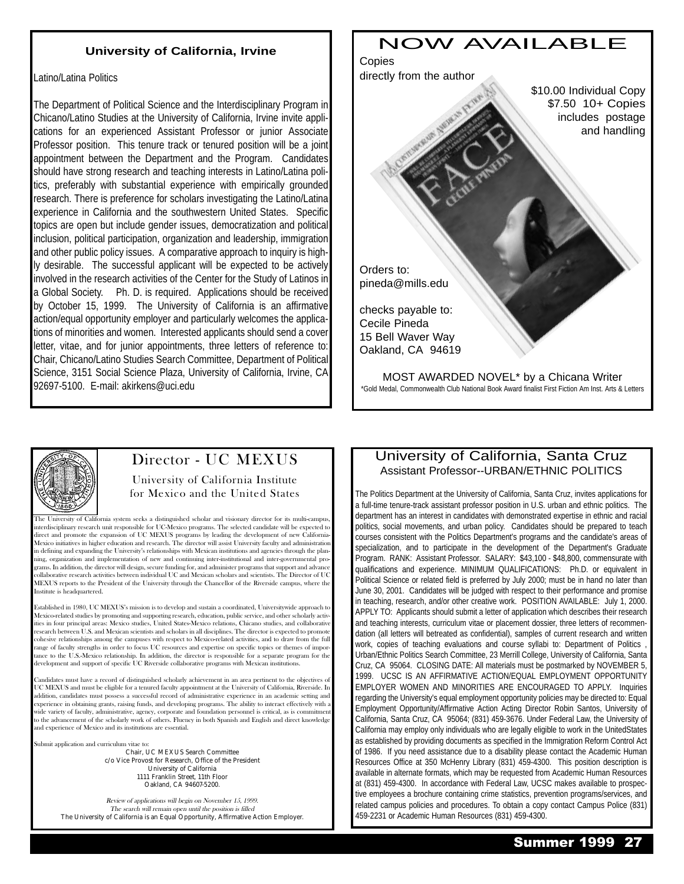#### **University of California, Irvine**

Latino/Latina Politics

The Department of Political Science and the Interdisciplinary Program in Chicano/Latino Studies at the University of California, Irvine invite applications for an experienced Assistant Professor or junior Associate Professor position. This tenure track or tenured position will be a joint appointment between the Department and the Program. Candidates should have strong research and teaching interests in Latino/Latina politics, preferably with substantial experience with empirically grounded research. There is preference for scholars investigating the Latino/Latina experience in California and the southwestern United States. Specific topics are open but include gender issues, democratization and political inclusion, political participation, organization and leadership, immigration and other public policy issues. A comparative approach to inquiry is highly desirable. The successful applicant will be expected to be actively involved in the research activities of the Center for the Study of Latinos in a Global Society. Ph. D. is required. Applications should be received by October 15, 1999. The University of California is an affirmative action/equal opportunity employer and particularly welcomes the applications of minorities and women. Interested applicants should send a cover letter, vitae, and for junior appointments, three letters of reference to: Chair, Chicano/Latino Studies Search Committee, Department of Political Science, 3151 Social Science Plaza, University of California, Irvine, CA 92697-5100. E-mail: akirkens@uci.edu



MOST AWARDED NOVEL\* by a Chicana Writer \*Gold Medal, Commonwealth Club National Book Award finalist First Fiction Am Inst. Arts & Letters



#### Director - UC MEXUS

University of California Institute for Mexico and the United States

The University of California system seeks a distinguished scholar and visionary director for its multi-campus, interdisciplinary research unit responsible for UC-Mexico programs. The selected candidate will be expected to direct and promote the expansion of UC MEXUS programs by leading the development of new California-Mexico initiatives in higher education and research. The director will assist University faculty and administration in defining and expanding the University's relationships with Mexican institutions and agencies through the planning, organization and implementation of new and continuing inter-institutional and inter-governmental programs. In addition, the director will design, secure funding for, and administer programs that support and advance collaborative research activities between individual UC and Mexican scholars and scientists. The Director of UC MEXUS reports to the President of the University through the Chancellor of the Riverside campus, where the Institute is headquartered.

Established in 1980, UC MEXUSs mission is to develop and sustain a coordinated, Universitywide approach to Mexico-related studies by promoting and supporting research, education, public service, and other scholarly activities in four principal areas: Mexico studies, United States-Mexico relations, Chicano studies, and collaborative research between U.S. and Mexican scientists and scholars in all disciplines. The director is expected to promote cohesive relationships among the campuses with respect to Mexico-related activities, and to draw from the full range of faculty strengths in order to focus UC resources and expertise on specific topics or themes of importance to the U.S.-Mexico relationship. In addition, the director is responsible for a separate program for the development and support of specific UC Riverside collaborative programs with Mexican institutions.

andidates must have a record of distinguished scholarly achievement in an area pertinent to the objectives of UC MEXUS and must be eligible for a tenured faculty appointment at the University of California, Riverside. In addition, candidates must possess a successful record of administrative experience in an academic setting and experience in obtaining grants, raising funds, and developing programs. The ability to interact effectively with a wide variety of faculty, administrative, agency, corporate and foundation personnel is critical, as is commitment to the advancement of the scholarly work of others. Fluency in both Spanish and English and direct knowledge and experience of Mexico and its institutions are essential.

Submit application and curriculum vitae to:

Chair, UC MEXUS Search Committee c/o Vice Provost for Research, Office of the President University of California 1111 Franklin Street, 11th Floor Oakland, CA 94607-5200.

Review of applications will begin on November 15, 1999. The search will remain open until the position is filled The University of California is an Equal Opportunity, Affirmative Action Employer.

#### University of California, Santa Cruz Assistant Professor--URBAN/ETHNIC POLITICS

The Politics Department at the University of California, Santa Cruz, invites applications for a full-time tenure-track assistant professor position in U.S. urban and ethnic politics. The department has an interest in candidates with demonstrated expertise in ethnic and racial politics, social movements, and urban policy. Candidates should be prepared to teach courses consistent with the Politics Department's programs and the candidate's areas of specialization, and to participate in the development of the Department's Graduate Program. RANK: Assistant Professor. SALARY: \$43,100 - \$48,800, commensurate with qualifications and experience. MINIMUM QUALIFICATIONS: Ph.D. or equivalent in Political Science or related field is preferred by July 2000; must be in hand no later than June 30, 2001. Candidates will be judged with respect to their performance and promise in teaching, research, and/or other creative work. POSITION AVAILABLE: July 1, 2000. APPLY TO: Applicants should submit a letter of application which describes their research and teaching interests, curriculum vitae or placement dossier, three letters of recommendation (all letters will betreated as confidential), samples of current research and written work, copies of teaching evaluations and course syllabi to: Department of Politics Urban/Ethnic Politics Search Committee, 23 Merrill College, University of California, Santa Cruz, CA 95064. CLOSING DATE: All materials must be postmarked by NOVEMBER 5, 1999. UCSC IS AN AFFIRMATIVE ACTION/EQUAL EMPLOYMENT OPPORTUNITY EMPLOYER WOMEN AND MINORITIES ARE ENCOURAGED TO APPLY. Inquiries regarding the University's equal employment opportunity policies may be directed to: Equal Employment Opportunity/Affirmative Action Acting Director Robin Santos, University of California, Santa Cruz, CA 95064; (831) 459-3676. Under Federal Law, the University of California may employ only individuals who are legally eligible to work in the UnitedStates as established by providing documents as specified in the Immigration Reform Control Act of 1986. If you need assistance due to a disability please contact the Academic Human Resources Office at 350 McHenry Library (831) 459-4300. This position description is available in alternate formats, which may be requested from Academic Human Resources at (831) 459-4300. In accordance with Federal Law, UCSC makes available to prospective employees a brochure containing crime statistics, prevention programs/services, and related campus policies and procedures. To obtain a copy contact Campus Police (831) 459-2231 or Academic Human Resources (831) 459-4300.